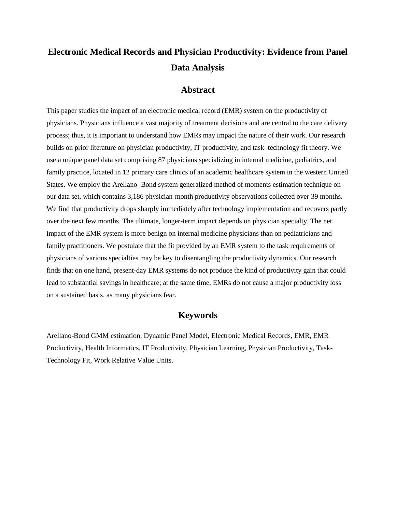# **Electronic Medical Records and Physician Productivity: Evidence from Panel Data Analysis**

### **Abstract**

This paper studies the impact of an electronic medical record (EMR) system on the productivity of physicians. Physicians influence a vast majority of treatment decisions and are central to the care delivery process; thus, it is important to understand how EMRs may impact the nature of their work. Our research builds on prior literature on physician productivity, IT productivity, and task–technology fit theory. We use a unique panel data set comprising 87 physicians specializing in internal medicine, pediatrics, and family practice, located in 12 primary care clinics of an academic healthcare system in the western United States. We employ the Arellano–Bond system generalized method of moments estimation technique on our data set, which contains 3,186 physician-month productivity observations collected over 39 months. We find that productivity drops sharply immediately after technology implementation and recovers partly over the next few months. The ultimate, longer-term impact depends on physician specialty. The net impact of the EMR system is more benign on internal medicine physicians than on pediatricians and family practitioners. We postulate that the fit provided by an EMR system to the task requirements of physicians of various specialties may be key to disentangling the productivity dynamics. Our research finds that on one hand, present-day EMR systems do not produce the kind of productivity gain that could lead to substantial savings in healthcare; at the same time, EMRs do not cause a major productivity loss on a sustained basis, as many physicians fear.

# **Keywords**

Arellano-Bond GMM estimation, Dynamic Panel Model, Electronic Medical Records, EMR, EMR Productivity, Health Informatics, IT Productivity, Physician Learning, Physician Productivity, Task-Technology Fit, Work Relative Value Units.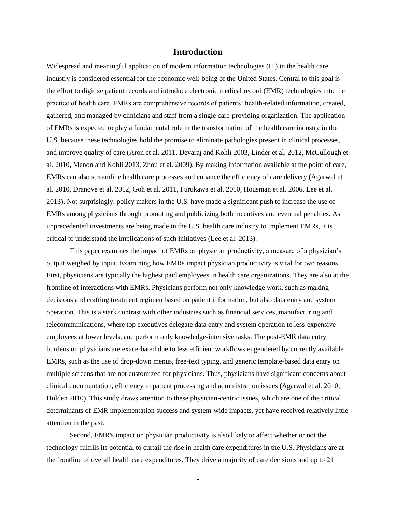### **Introduction**

Widespread and meaningful application of modern information technologies (IT) in the health care industry is considered essential for the economic well-being of the United States. Central to this goal is the effort to digitize patient records and introduce electronic medical record (EMR) technologies into the practice of health care. EMRs are comprehensive records of patients' health-related information, created, gathered, and managed by clinicians and staff from a single care-providing organization. The application of EMRs is expected to play a fundamental role in the transformation of the health care industry in the U.S. because these technologies hold the promise to eliminate pathologies present in clinical processes, and improve quality of care (Aron et al. 2011, Devaraj and Kohli 2003, Linder et al. 2012, McCullough et al. 2010, Menon and Kohli 2013, Zhou et al. 2009). By making information available at the point of care, EMRs can also streamline health care processes and enhance the efficiency of care delivery (Agarwal et al. 2010, Dranove et al. 2012, Goh et al. 2011, Furukawa et al. 2010, Housman et al. 2006, Lee et al. 2013). Not surprisingly, policy makers in the U.S. have made a significant push to increase the use of EMRs among physicians through promoting and publicizing both incentives and eventual penalties. As unprecedented investments are being made in the U.S. health care industry to implement EMRs, it is critical to understand the implications of such initiatives (Lee et al. 2013).

This paper examines the impact of EMRs on physician productivity, a measure of a physician's output weighed by input. Examining how EMRs impact physician productivity is vital for two reasons. First, physicians are typically the highest paid employees in health care organizations. They are also at the frontline of interactions with EMRs. Physicians perform not only knowledge work, such as making decisions and crafting treatment regimen based on patient information, but also data entry and system operation. This is a stark contrast with other industries such as financial services, manufacturing and telecommunications, where top executives delegate data entry and system operation to less-expensive employees at lower levels, and perform only knowledge-intensive tasks. The post-EMR data entry burdens on physicians are exacerbated due to less efficient workflows engendered by currently available EMRs, such as the use of drop-down menus, free-text typing, and generic template-based data entry on multiple screens that are not customized for physicians. Thus, physicians have significant concerns about clinical documentation, efficiency in patient processing and administration issues (Agarwal et al. 2010, Holden 2010). This study draws attention to these physician-centric issues, which are one of the critical determinants of EMR implementation success and system-wide impacts, yet have received relatively little attention in the past.

Second, EMR's impact on physician productivity is also likely to affect whether or not the technology fulfills its potential to curtail the rise in health care expenditures in the U.S. Physicians are at the frontline of overall health care expenditures. They drive a majority of care decisions and up to 21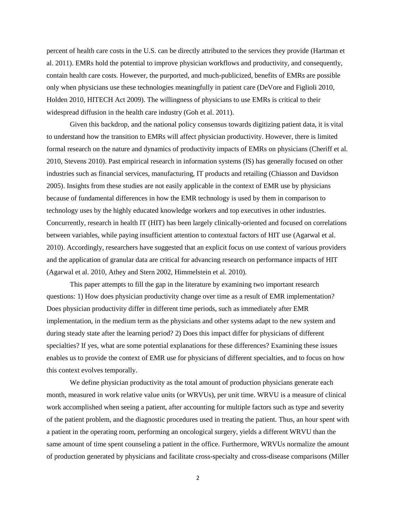percent of health care costs in the U.S. can be directly attributed to the services they provide (Hartman et al. 2011). EMRs hold the potential to improve physician workflows and productivity, and consequently, contain health care costs. However, the purported, and much-publicized, benefits of EMRs are possible only when physicians use these technologies meaningfully in patient care (DeVore and Figlioli 2010, Holden 2010, HITECH Act 2009). The willingness of physicians to use EMRs is critical to their widespread diffusion in the health care industry (Goh et al. 2011).

Given this backdrop, and the national policy consensus towards digitizing patient data, it is vital to understand how the transition to EMRs will affect physician productivity. However, there is limited formal research on the nature and dynamics of productivity impacts of EMRs on physicians (Cheriff et al. 2010, Stevens 2010). Past empirical research in information systems (IS) has generally focused on other industries such as financial services, manufacturing, IT products and retailing (Chiasson and Davidson 2005). Insights from these studies are not easily applicable in the context of EMR use by physicians because of fundamental differences in how the EMR technology is used by them in comparison to technology uses by the highly educated knowledge workers and top executives in other industries. Concurrently, research in health IT (HIT) has been largely clinically-oriented and focused on correlations between variables, while paying insufficient attention to contextual factors of HIT use (Agarwal et al. 2010). Accordingly, researchers have suggested that an explicit focus on use context of various providers and the application of granular data are critical for advancing research on performance impacts of HIT (Agarwal et al. 2010, Athey and Stern 2002, Himmelstein et al. 2010).

This paper attempts to fill the gap in the literature by examining two important research questions: 1) How does physician productivity change over time as a result of EMR implementation? Does physician productivity differ in different time periods, such as immediately after EMR implementation, in the medium term as the physicians and other systems adapt to the new system and during steady state after the learning period? 2) Does this impact differ for physicians of different specialties? If yes, what are some potential explanations for these differences? Examining these issues enables us to provide the context of EMR use for physicians of different specialties, and to focus on how this context evolves temporally.

We define physician productivity as the total amount of production physicians generate each month, measured in work relative value units (or WRVUs), per unit time. WRVU is a measure of clinical work accomplished when seeing a patient, after accounting for multiple factors such as type and severity of the patient problem, and the diagnostic procedures used in treating the patient. Thus, an hour spent with a patient in the operating room, performing an oncological surgery, yields a different WRVU than the same amount of time spent counseling a patient in the office. Furthermore, WRVUs normalize the amount of production generated by physicians and facilitate cross-specialty and cross-disease comparisons (Miller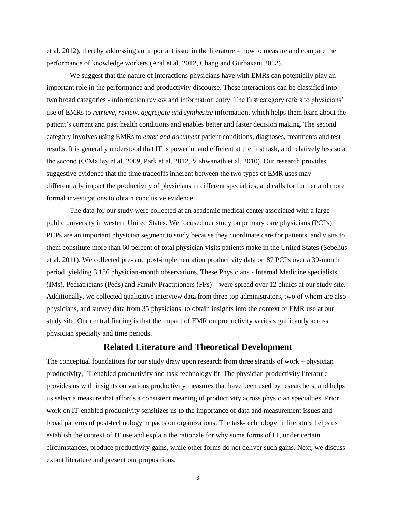et al. 2012), thereby addressing an important issue in the literature – how to measure and compare the performance of knowledge workers (Aral et al. 2012, Chang and Gurbaxani 2012).

We suggest that the nature of interactions physicians have with EMRs can potentially play an important role in the performance and productivity discourse. These interactions can be classified into two broad categories - information review and information entry. The first category refers to physicians' use of EMRs to *retrieve, review, aggregate and synthesize* information, which helps them learn about the patient's current and past health conditions and enables better and faster decision making. The second category involves using EMRs to *enter and document* patient conditions, diagnoses, treatments and test results. It is generally understood that IT is powerful and efficient at the first task, and relatively less so at the second (O'Malley et al. 2009, Park et al. 2012, Vishwanath et al. 2010). Our research provides suggestive evidence that the time tradeoffs inherent between the two types of EMR uses may differentially impact the productivity of physicians in different specialties, and calls for further and more formal investigations to obtain conclusive evidence.

The data for our study were collected at an academic medical center associated with a large public university in western United States. We focused our study on primary care physicians (PCPs). PCPs are an important physician segment to study because they coordinate care for patients, and visits to them constitute more than 60 percent of total physician visits patients make in the United States (Sebelius et al. 2011). We collected pre- and post-implementation productivity data on 87 PCPs over a 39-month period, yielding 3,186 physician-month observations. These Physicians - Internal Medicine specialists (IMs), Pediatricians (Peds) and Family Practitioners (FPs) – were spread over 12 clinics at our study site. Additionally, we collected qualitative interview data from three top administrators, two of whom are also physicians, and survey data from 35 physicians, to obtain insights into the context of EMR use at our study site. Our central finding is that the impact of EMR on productivity varies significantly across physician specialty and time periods.

### **Related Literature and Theoretical Development**

The conceptual foundations for our study draw upon research from three strands of work – physician productivity, IT-enabled productivity and task-technology fit. The physician productivity literature provides us with insights on various productivity measures that have been used by researchers, and helps us select a measure that affords a consistent meaning of productivity across physician specialties. Prior work on IT-enabled productivity sensitizes us to the importance of data and measurement issues and broad patterns of post-technology impacts on organizations. The task-technology fit literature helps us establish the context of IT use and explain the rationale for why some forms of IT, under certain circumstances, produce productivity gains, while other forms do not deliver such gains. Next, we discuss extant literature and present our propositions.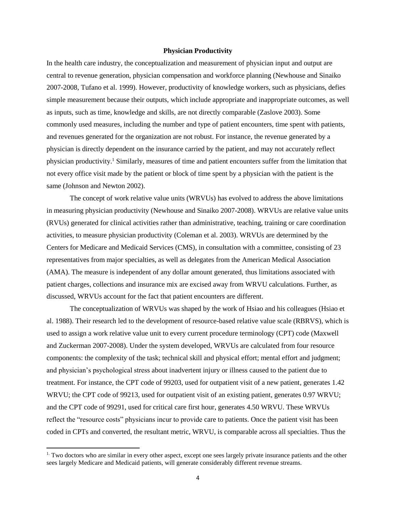#### **Physician Productivity**

In the health care industry, the conceptualization and measurement of physician input and output are central to revenue generation, physician compensation and workforce planning (Newhouse and Sinaiko 2007-2008, Tufano et al. 1999). However, productivity of knowledge workers, such as physicians, defies simple measurement because their outputs, which include appropriate and inappropriate outcomes, as well as inputs, such as time, knowledge and skills, are not directly comparable (Zaslove 2003). Some commonly used measures, including the number and type of patient encounters, time spent with patients, and revenues generated for the organization are not robust. For instance, the revenue generated by a physician is directly dependent on the insurance carried by the patient, and may not accurately reflect physician productivity.<sup>1</sup> Similarly, measures of time and patient encounters suffer from the limitation that not every office visit made by the patient or block of time spent by a physician with the patient is the same (Johnson and Newton 2002).

The concept of work relative value units (WRVUs) has evolved to address the above limitations in measuring physician productivity (Newhouse and Sinaiko 2007-2008). WRVUs are relative value units (RVUs) generated for clinical activities rather than administrative, teaching, training or care coordination activities, to measure physician productivity (Coleman et al. 2003). WRVUs are determined by the Centers for Medicare and Medicaid Services (CMS), in consultation with a committee, consisting of 23 representatives from major specialties, as well as delegates from the American Medical Association (AMA). The measure is independent of any dollar amount generated, thus limitations associated with patient charges, collections and insurance mix are excised away from WRVU calculations. Further, as discussed, WRVUs account for the fact that patient encounters are different.

The conceptualization of WRVUs was shaped by the work of Hsiao and his colleagues (Hsiao et al. 1988). Their research led to the development of resource-based relative value scale (RBRVS), which is used to assign a work relative value unit to every current procedure terminology (CPT) code (Maxwell and Zuckerman 2007-2008). Under the system developed, WRVUs are calculated from four resource components: the complexity of the task; technical skill and physical effort; mental effort and judgment; and physician's psychological stress about inadvertent injury or illness caused to the patient due to treatment. For instance, the CPT code of 99203, used for outpatient visit of a new patient, generates 1.42 WRVU; the CPT code of 99213, used for outpatient visit of an existing patient, generates 0.97 WRVU; and the CPT code of 99291, used for critical care first hour, generates 4.50 WRVU. These WRVUs reflect the "resource costs" physicians incur to provide care to patients. Once the patient visit has been coded in CPTs and converted, the resultant metric, WRVU, is comparable across all specialties. Thus the

 $\overline{a}$ 

<sup>1.</sup> Two doctors who are similar in every other aspect, except one sees largely private insurance patients and the other sees largely Medicare and Medicaid patients, will generate considerably different revenue streams.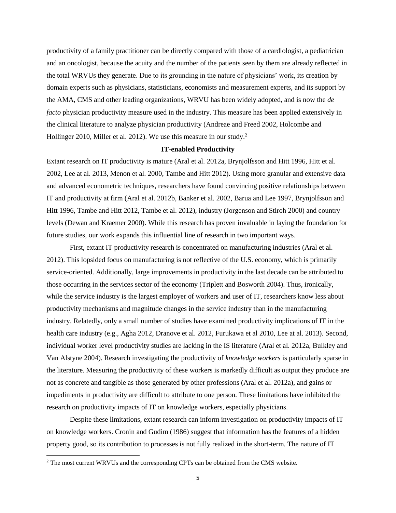productivity of a family practitioner can be directly compared with those of a cardiologist, a pediatrician and an oncologist, because the acuity and the number of the patients seen by them are already reflected in the total WRVUs they generate. Due to its grounding in the nature of physicians' work, its creation by domain experts such as physicians, statisticians, economists and measurement experts, and its support by the AMA, CMS and other leading organizations, WRVU has been widely adopted, and is now the *de facto* physician productivity measure used in the industry. This measure has been applied extensively in the clinical literature to analyze physician productivity (Andreae and Freed 2002, Holcombe and Hollinger 2010, Miller et al. 2012). We use this measure in our study.<sup>2</sup>

#### **IT-enabled Productivity**

Extant research on IT productivity is mature (Aral et al. 2012a, Brynjolfsson and Hitt 1996, Hitt et al. 2002, Lee at al. 2013, Menon et al. 2000, Tambe and Hitt 2012). Using more granular and extensive data and advanced econometric techniques, researchers have found convincing positive relationships between IT and productivity at firm (Aral et al. 2012b, Banker et al. 2002, Barua and Lee 1997, Brynjolfsson and Hitt 1996, Tambe and Hitt 2012, Tambe et al. 2012), industry (Jorgenson and Stiroh 2000) and country levels (Dewan and Kraemer 2000). While this research has proven invaluable in laying the foundation for future studies, our work expands this influential line of research in two important ways.

First, extant IT productivity research is concentrated on manufacturing industries (Aral et al. 2012). This lopsided focus on manufacturing is not reflective of the U.S. economy, which is primarily service-oriented. Additionally, large improvements in productivity in the last decade can be attributed to those occurring in the services sector of the economy (Triplett and Bosworth 2004). Thus, ironically, while the service industry is the largest employer of workers and user of IT, researchers know less about productivity mechanisms and magnitude changes in the service industry than in the manufacturing industry. Relatedly, only a small number of studies have examined productivity implications of IT in the health care industry (e.g., Agha 2012, Dranove et al. 2012, Furukawa et al 2010, Lee at al. 2013). Second, individual worker level productivity studies are lacking in the IS literature (Aral et al. 2012a, Bulkley and Van Alstyne 2004). Research investigating the productivity of *knowledge workers* is particularly sparse in the literature. Measuring the productivity of these workers is markedly difficult as output they produce are not as concrete and tangible as those generated by other professions (Aral et al. 2012a), and gains or impediments in productivity are difficult to attribute to one person. These limitations have inhibited the research on productivity impacts of IT on knowledge workers, especially physicians.

Despite these limitations, extant research can inform investigation on productivity impacts of IT on knowledge workers. Cronin and Gudim (1986) suggest that information has the features of a hidden property good, so its contribution to processes is not fully realized in the short-term. The nature of IT

 $\overline{\phantom{a}}$ 

 $2^2$  The most current WRVUs and the corresponding CPTs can be obtained from the CMS website.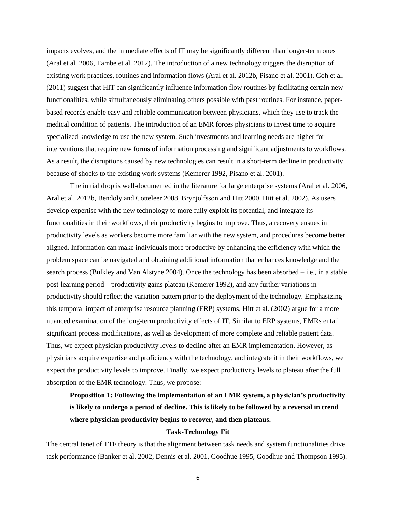impacts evolves, and the immediate effects of IT may be significantly different than longer-term ones (Aral et al. 2006, Tambe et al. 2012). The introduction of a new technology triggers the disruption of existing work practices, routines and information flows (Aral et al. 2012b, Pisano et al. 2001). Goh et al. (2011) suggest that HIT can significantly influence information flow routines by facilitating certain new functionalities, while simultaneously eliminating others possible with past routines. For instance, paperbased records enable easy and reliable communication between physicians, which they use to track the medical condition of patients. The introduction of an EMR forces physicians to invest time to acquire specialized knowledge to use the new system. Such investments and learning needs are higher for interventions that require new forms of information processing and significant adjustments to workflows. As a result, the disruptions caused by new technologies can result in a short-term decline in productivity because of shocks to the existing work systems (Kemerer 1992, Pisano et al. 2001).

The initial drop is well-documented in the literature for large enterprise systems (Aral et al. 2006, Aral et al. 2012b, Bendoly and Cotteleer 2008, Brynjolfsson and Hitt 2000, Hitt et al. 2002). As users develop expertise with the new technology to more fully exploit its potential, and integrate its functionalities in their workflows, their productivity begins to improve. Thus, a recovery ensues in productivity levels as workers become more familiar with the new system, and procedures become better aligned. Information can make individuals more productive by enhancing the efficiency with which the problem space can be navigated and obtaining additional information that enhances knowledge and the search process (Bulkley and Van Alstyne 2004). Once the technology has been absorbed – i.e., in a stable post-learning period – productivity gains plateau (Kemerer 1992), and any further variations in productivity should reflect the variation pattern prior to the deployment of the technology. Emphasizing this temporal impact of enterprise resource planning (ERP) systems, Hitt et al. (2002) argue for a more nuanced examination of the long-term productivity effects of IT. Similar to ERP systems, EMRs entail significant process modifications, as well as development of more complete and reliable patient data. Thus, we expect physician productivity levels to decline after an EMR implementation. However, as physicians acquire expertise and proficiency with the technology, and integrate it in their workflows, we expect the productivity levels to improve. Finally, we expect productivity levels to plateau after the full absorption of the EMR technology. Thus, we propose:

# **Proposition 1: Following the implementation of an EMR system, a physician's productivity is likely to undergo a period of decline. This is likely to be followed by a reversal in trend where physician productivity begins to recover, and then plateaus.**

#### **Task-Technology Fit**

The central tenet of TTF theory is that the alignment between task needs and system functionalities drive task performance (Banker et al. 2002, Dennis et al. 2001, Goodhue 1995, Goodhue and Thompson 1995).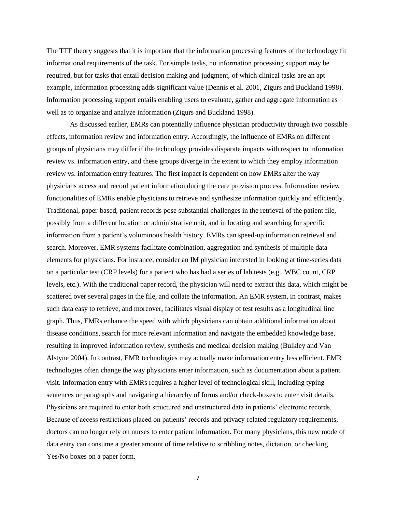The TTF theory suggests that it is important that the information processing features of the technology fit informational requirements of the task. For simple tasks, no information processing support may be required, but for tasks that entail decision making and judgment, of which clinical tasks are an apt example, information processing adds significant value (Dennis et al. 2001, Zigurs and Buckland 1998). Information processing support entails enabling users to evaluate, gather and aggregate information as well as to organize and analyze information (Zigurs and Buckland 1998).

As discussed earlier, EMRs can potentially influence physician productivity through two possible effects, information review and information entry. Accordingly, the influence of EMRs on different groups of physicians may differ if the technology provides disparate impacts with respect to information review vs. information entry, and these groups diverge in the extent to which they employ information review vs. information entry features. The first impact is dependent on how EMRs alter the way physicians access and record patient information during the care provision process. Information review functionalities of EMRs enable physicians to retrieve and synthesize information quickly and efficiently. Traditional, paper-based, patient records pose substantial challenges in the retrieval of the patient file, possibly from a different location or administrative unit, and in locating and searching for specific information from a patient's voluminous health history. EMRs can speed-up information retrieval and search. Moreover, EMR systems facilitate combination, aggregation and synthesis of multiple data elements for physicians. For instance, consider an IM physician interested in looking at time-series data on a particular test (CRP levels) for a patient who has had a series of lab tests (e.g., WBC count, CRP levels, etc.). With the traditional paper record, the physician will need to extract this data, which might be scattered over several pages in the file, and collate the information. An EMR system, in contrast, makes such data easy to retrieve, and moreover, facilitates visual display of test results as a longitudinal line graph. Thus, EMRs enhance the speed with which physicians can obtain additional information about disease conditions, search for more relevant information and navigate the embedded knowledge base, resulting in improved information review, synthesis and medical decision making (Bulkley and Van Alstyne 2004). In contrast, EMR technologies may actually make information entry less efficient. EMR technologies often change the way physicians enter information, such as documentation about a patient visit. Information entry with EMRs requires a higher level of technological skill, including typing sentences or paragraphs and navigating a hierarchy of forms and/or check-boxes to enter visit details. Physicians are required to enter both structured and unstructured data in patients' electronic records. Because of access restrictions placed on patients' records and privacy-related regulatory requirements, doctors can no longer rely on nurses to enter patient information. For many physicians, this new mode of data entry can consume a greater amount of time relative to scribbling notes, dictation, or checking Yes/No boxes on a paper form.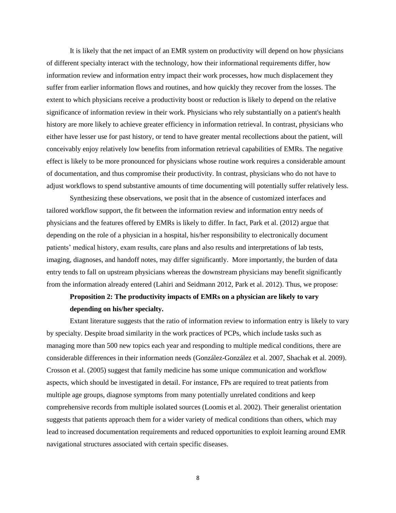It is likely that the net impact of an EMR system on productivity will depend on how physicians of different specialty interact with the technology, how their informational requirements differ, how information review and information entry impact their work processes, how much displacement they suffer from earlier information flows and routines, and how quickly they recover from the losses. The extent to which physicians receive a productivity boost or reduction is likely to depend on the relative significance of information review in their work. Physicians who rely substantially on a patient's health history are more likely to achieve greater efficiency in information retrieval. In contrast, physicians who either have lesser use for past history, or tend to have greater mental recollections about the patient, will conceivably enjoy relatively low benefits from information retrieval capabilities of EMRs. The negative effect is likely to be more pronounced for physicians whose routine work requires a considerable amount of documentation, and thus compromise their productivity. In contrast, physicians who do not have to adjust workflows to spend substantive amounts of time documenting will potentially suffer relatively less.

Synthesizing these observations, we posit that in the absence of customized interfaces and tailored workflow support, the fit between the information review and information entry needs of physicians and the features offered by EMRs is likely to differ. In fact, Park et al. (2012) argue that depending on the role of a physician in a hospital, his/her responsibility to electronically document patients' medical history, exam results, care plans and also results and interpretations of lab tests, imaging, diagnoses, and handoff notes, may differ significantly. More importantly, the burden of data entry tends to fall on upstream physicians whereas the downstream physicians may benefit significantly from the information already entered (Lahiri and Seidmann 2012, Park et al. 2012). Thus, we propose:

# **Proposition 2: The productivity impacts of EMRs on a physician are likely to vary depending on his/her specialty.**

Extant literature suggests that the ratio of information review to information entry is likely to vary by specialty. Despite broad similarity in the work practices of PCPs, which include tasks such as managing more than 500 new topics each year and responding to multiple medical conditions, there are considerable differences in their information needs (González-González et al. 2007, Shachak et al. 2009). Crosson et al. (2005) suggest that family medicine has some unique communication and workflow aspects, which should be investigated in detail. For instance, FPs are required to treat patients from multiple age groups, diagnose symptoms from many potentially unrelated conditions and keep comprehensive records from multiple isolated sources (Loomis et al. 2002). Their generalist orientation suggests that patients approach them for a wider variety of medical conditions than others, which may lead to increased documentation requirements and reduced opportunities to exploit learning around EMR navigational structures associated with certain specific diseases.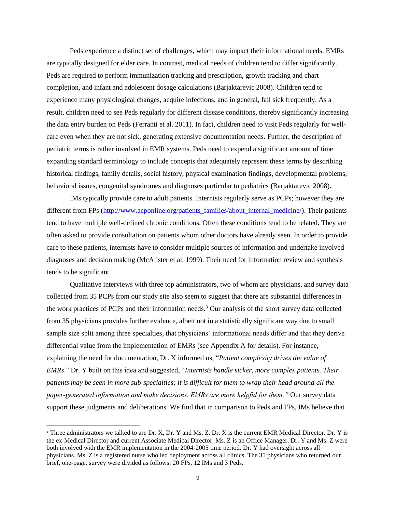Peds experience a distinct set of challenges, which may impact their informational needs. EMRs are typically designed for elder care. In contrast, medical needs of children tend to differ significantly. Peds are required to perform immunization tracking and prescription, growth tracking and chart completion, and infant and adolescent dosage calculations (Barjaktarevic 2008). Children tend to experience many physiological changes, acquire infections, and in general, fall sick frequently. As a result, children need to see Peds regularly for different disease conditions, thereby significantly increasing the data entry burden on Peds (Ferranti et al. 2011). In fact, children need to visit Peds regularly for wellcare even when they are not sick, generating extensive documentation needs. Further, the description of pediatric terms is rather involved in EMR systems. Peds need to expend a significant amount of time expanding standard terminology to include concepts that adequately represent these terms by describing historical findings, family details, social history, physical examination findings, developmental problems, behavioral issues, congenital syndromes and diagnoses particular to pediatrics **(**Barjaktarevic 2008).

IMs typically provide care to adult patients. Internists regularly serve as PCPs; however they are different from FPs [\(http://www.acponline.org/patients\\_families/about\\_internal\\_medicine/\)](http://www.acponline.org/patients_families/about_internal_medicine/). Their patients tend to have multiple well-defined chronic conditions. Often these conditions tend to be related. They are often asked to provide consultation on patients whom other doctors have already seen. In order to provide care to these patients, internists have to consider multiple sources of information and undertake involved diagnoses and decision making (McAlister et al. 1999). Their need for information review and synthesis tends to be significant.

Qualitative interviews with three top administrators, two of whom are physicians, and survey data collected from 35 PCPs from our study site also seem to suggest that there are substantial differences in the work practices of PCPs and their information needs.<sup>3</sup> Our analysis of the short survey data collected from 35 physicians provides further evidence, albeit not in a statistically significant way due to small sample size split among three specialties, that physicians' informational needs differ and that they derive differential value from the implementation of EMRs (see Appendix A for details). For instance, explaining the need for documentation, Dr. X informed us, "*Patient complexity drives the value of EMRs*." Dr. Y built on this idea and suggested, "*Internists handle sicker, more complex patients. Their patients may be seen in more sub-specialties; it is difficult for them to wrap their head around all the paper-generated information and make decisions. EMRs are more helpful for them."* Our survey data support these judgments and deliberations. We find that in comparison to Peds and FPs, IMs believe that

l

<sup>&</sup>lt;sup>3</sup> Three administrators we talked to are Dr. X, Dr. Y and Ms. Z. Dr. X is the current EMR Medical Director. Dr. Y is the ex-Medical Director and current Associate Medical Director. Ms. Z is an Office Manager. Dr. Y and Ms. Z were both involved with the EMR implementation in the 2004-2005 time period. Dr. Y had oversight across all physicians. Ms. Z is a registered nurse who led deployment across all clinics. The 35 physicians who returned our brief, one-page, survey were divided as follows: 20 FPs, 12 IMs and 3 Peds.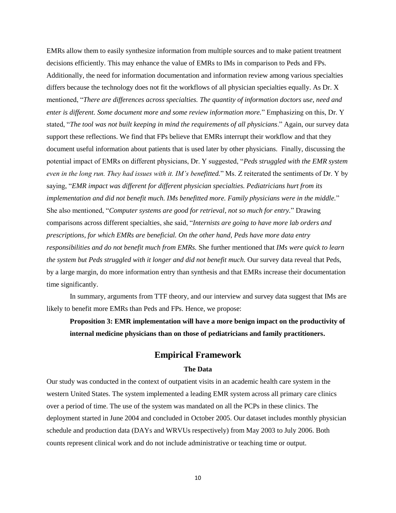EMRs allow them to easily synthesize information from multiple sources and to make patient treatment decisions efficiently. This may enhance the value of EMRs to IMs in comparison to Peds and FPs. Additionally, the need for information documentation and information review among various specialties differs because the technology does not fit the workflows of all physician specialties equally. As Dr. X mentioned, "*There are differences across specialties. The quantity of information doctors use, need and enter is different. Some document more and some review information more.*" Emphasizing on this, Dr. Y stated, "*The tool was not built keeping in mind the requirements of all physicians*." Again, our survey data support these reflections. We find that FPs believe that EMRs interrupt their workflow and that they document useful information about patients that is used later by other physicians. Finally, discussing the potential impact of EMRs on different physicians, Dr. Y suggested, "*Peds struggled with the EMR system even in the long run. They had issues with it. IM's benefitted.*" Ms. Z reiterated the sentiments of Dr. Y by saying, "*EMR impact was different for different physician specialties. Pediatricians hurt from its implementation and did not benefit much. IMs benefitted more. Family physicians were in the middle.*" She also mentioned, "*Computer systems are good for retrieval, not so much for entry.*" Drawing comparisons across different specialties, she said, "*Internists are going to have more lab orders and prescriptions, for which EMRs are beneficial. On the other hand, Peds have more data entry responsibilities and do not benefit much from EMRs.* She further mentioned that *IMs were quick to learn the system but Peds struggled with it longer and did not benefit much.* Our survey data reveal that Peds, by a large margin, do more information entry than synthesis and that EMRs increase their documentation time significantly.

In summary, arguments from TTF theory, and our interview and survey data suggest that IMs are likely to benefit more EMRs than Peds and FPs. Hence, we propose:

**Proposition 3: EMR implementation will have a more benign impact on the productivity of internal medicine physicians than on those of pediatricians and family practitioners.**

# **Empirical Framework**

#### **The Data**

Our study was conducted in the context of outpatient visits in an academic health care system in the western United States. The system implemented a leading EMR system across all primary care clinics over a period of time. The use of the system was mandated on all the PCPs in these clinics. The deployment started in June 2004 and concluded in October 2005. Our dataset includes monthly physician schedule and production data (DAYs and WRVUs respectively) from May 2003 to July 2006. Both counts represent clinical work and do not include administrative or teaching time or output.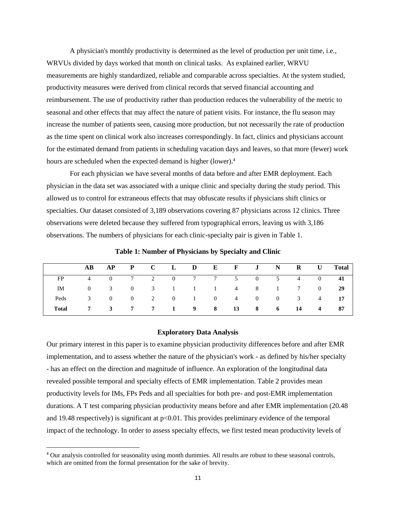A physician's monthly productivity is determined as the level of production per unit time, i.e., WRVUs divided by days worked that month on clinical tasks. As explained earlier, WRVU measurements are highly standardized, reliable and comparable across specialties. At the system studied, productivity measures were derived from clinical records that served financial accounting and reimbursement. The use of productivity rather than production reduces the vulnerability of the metric to seasonal and other effects that may affect the nature of patient visits. For instance, the flu season may increase the number of patients seen, causing more production, but not necessarily the rate of production as the time spent on clinical work also increases correspondingly. In fact, clinics and physicians account for the estimated demand from patients in scheduling vacation days and leaves, so that more (fewer) work hours are scheduled when the expected demand is higher (lower).<sup>4</sup>

For each physician we have several months of data before and after EMR deployment. Each physician in the data set was associated with a unique clinic and specialty during the study period. This allowed us to control for extraneous effects that may obfuscate results if physicians shift clinics or specialties. Our dataset consisted of 3,189 observations covering 87 physicians across 12 clinics. Three observations were deleted because they suffered from typographical errors, leaving us with 3,186 observations. The numbers of physicians for each clinic-specialty pair is given in Table 1.

**Table 1: Number of Physicians by Specialty and Clinic**

|              |                            |  |                                |  |                                         |  |    |                | AB AP P C L D E F J N R U Total |
|--------------|----------------------------|--|--------------------------------|--|-----------------------------------------|--|----|----------------|---------------------------------|
| FP.          | 4 0 7 2 0 7 7 5 0 5 4 0 41 |  |                                |  |                                         |  |    |                |                                 |
| IM           | $0 \qquad \qquad 3$        |  |                                |  | 0 3 1 1 1 4 8 1 7                       |  |    | $\mathbf{0}$   | 29                              |
| Peds         | $3 \qquad 0$               |  | $0 \qquad 2 \qquad 0 \qquad 1$ |  | $0 \qquad 4 \qquad 0 \qquad 0 \qquad 3$ |  |    | $\overline{4}$ | - 17                            |
| <b>Total</b> | 7 3                        |  |                                |  | 7 7 1 9 8 13 8 6                        |  | 14 | $\overline{4}$ | -87                             |

#### **Exploratory Data Analysis**

Our primary interest in this paper is to examine physician productivity differences before and after EMR implementation, and to assess whether the nature of the physician's work - as defined by his/her specialty - has an effect on the direction and magnitude of influence. An exploration of the longitudinal data revealed possible temporal and specialty effects of EMR implementation. Table 2 provides mean productivity levels for IMs, FPs Peds and all specialties for both pre- and post-EMR implementation durations. A T test comparing physician productivity means before and after EMR implementation (20.48 and 19.48 respectively) is significant at  $p<0.01$ . This provides preliminary evidence of the temporal impact of the technology. In order to assess specialty effects, we first tested mean productivity levels of

l

<sup>4</sup> Our analysis controlled for seasonality using month dummies. All results are robust to these seasonal controls, which are omitted from the formal presentation for the sake of brevity.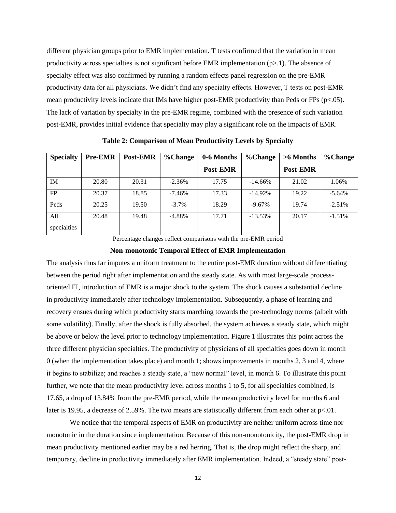different physician groups prior to EMR implementation. T tests confirmed that the variation in mean productivity across specialties is not significant before EMR implementation  $(p>1)$ . The absence of specialty effect was also confirmed by running a random effects panel regression on the pre-EMR productivity data for all physicians. We didn't find any specialty effects. However, T tests on post-EMR mean productivity levels indicate that IMs have higher post-EMR productivity than Peds or FPs (p<.05). The lack of variation by specialty in the pre-EMR regime, combined with the presence of such variation post-EMR, provides initial evidence that specialty may play a significant role on the impacts of EMR.

| <b>Specialty</b> | <b>Pre-EMR</b> | <b>Post-EMR</b> | %Change   | 0-6 Months | %Change    | >6 Months       | %Change   |
|------------------|----------------|-----------------|-----------|------------|------------|-----------------|-----------|
|                  |                |                 |           | Post-EMR   |            | <b>Post-EMR</b> |           |
| <b>IM</b>        | 20.80          | 20.31           | $-2.36\%$ | 17.75      | $-14.66\%$ | 21.02           | 1.06%     |
| FP               | 20.37          | 18.85           | $-7.46\%$ | 17.33      | $-14.92\%$ | 19.22           | $-5.64\%$ |
| Peds             | 20.25          | 19.50           | $-3.7\%$  | 18.29      | $-9.67\%$  | 19.74           | $-2.51%$  |
| A11              | 20.48          | 19.48           | $-4.88\%$ | 17.71      | $-13.53\%$ | 20.17           | $-1.51%$  |
| specialties      |                |                 |           |            |            |                 |           |

**Table 2: Comparison of Mean Productivity Levels by Specialty**

Percentage changes reflect comparisons with the pre-EMR period

#### **Non-monotonic Temporal Effect of EMR Implementation**

The analysis thus far imputes a uniform treatment to the entire post-EMR duration without differentiating between the period right after implementation and the steady state. As with most large-scale processoriented IT, introduction of EMR is a major shock to the system. The shock causes a substantial decline in productivity immediately after technology implementation. Subsequently, a phase of learning and recovery ensues during which productivity starts marching towards the pre-technology norms (albeit with some volatility). Finally, after the shock is fully absorbed, the system achieves a steady state, which might be above or below the level prior to technology implementation. Figure 1 illustrates this point across the three different physician specialties. The productivity of physicians of all specialties goes down in month 0 (when the implementation takes place) and month 1; shows improvements in months 2, 3 and 4, where it begins to stabilize; and reaches a steady state, a "new normal" level, in month 6. To illustrate this point further, we note that the mean productivity level across months 1 to 5, for all specialties combined, is 17.65, a drop of 13.84% from the pre-EMR period, while the mean productivity level for months 6 and later is 19.95, a decrease of 2.59%. The two means are statistically different from each other at  $p\le 01$ .

We notice that the temporal aspects of EMR on productivity are neither uniform across time nor monotonic in the duration since implementation. Because of this non-monotonicity, the post-EMR drop in mean productivity mentioned earlier may be a red herring. That is, the drop might reflect the sharp, and temporary, decline in productivity immediately after EMR implementation. Indeed, a "steady state" post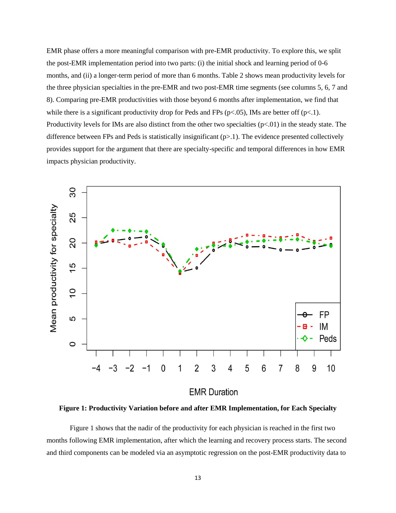EMR phase offers a more meaningful comparison with pre-EMR productivity. To explore this, we split the post-EMR implementation period into two parts: (i) the initial shock and learning period of 0-6 months, and (ii) a longer-term period of more than 6 months. Table 2 shows mean productivity levels for the three physician specialties in the pre-EMR and two post-EMR time segments (see columns 5, 6, 7 and 8). Comparing pre-EMR productivities with those beyond 6 months after implementation, we find that while there is a significant productivity drop for Peds and FPs ( $p<05$ ), IMs are better off ( $p<1$ ). Productivity levels for IMs are also distinct from the other two specialties  $(p<.01)$  in the steady state. The difference between FPs and Peds is statistically insignificant  $(p>1)$ . The evidence presented collectively provides support for the argument that there are specialty-specific and temporal differences in how EMR impacts physician productivity.



**Figure 1: Productivity Variation before and after EMR Implementation, for Each Specialty**

Figure 1 shows that the nadir of the productivity for each physician is reached in the first two months following EMR implementation, after which the learning and recovery process starts. The second and third components can be modeled via an asymptotic regression on the post-EMR productivity data to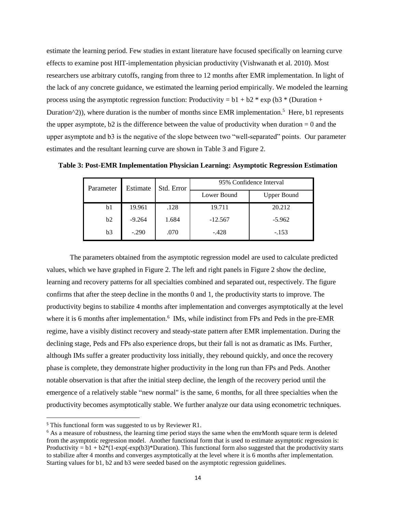estimate the learning period. Few studies in extant literature have focused specifically on learning curve effects to examine post HIT-implementation physician productivity (Vishwanath et al. 2010). Most researchers use arbitrary cutoffs, ranging from three to 12 months after EMR implementation. In light of the lack of any concrete guidance, we estimated the learning period empirically. We modeled the learning process using the asymptotic regression function: Productivity =  $b1 + b2 * exp(b3 * (Duration +$ Duration $\binom{5}{2}$ , where duration is the number of months since EMR implementation.<sup>5</sup> Here, b1 represents the upper asymptote,  $b2$  is the difference between the value of productivity when duration = 0 and the upper asymptote and b3 is the negative of the slope between two "well-separated" points. Our parameter estimates and the resultant learning curve are shown in Table 3 and Figure 2.

**Table 3: Post-EMR Implementation Physician Learning: Asymptotic Regression Estimation**

| Parameter      | Estimate | Std. Error | 95% Confidence Interval |                    |  |  |  |
|----------------|----------|------------|-------------------------|--------------------|--|--|--|
|                |          |            | Lower Bound             | <b>Upper Bound</b> |  |  |  |
| b1             | 19.961   | .128       | 19.711                  | 20.212             |  |  |  |
| h2             | $-9.264$ | 1.684      | $-12.567$               | $-5.962$           |  |  |  |
| b <sub>3</sub> | $-.290$  | .070       | $-.428$                 | $-.153$            |  |  |  |

The parameters obtained from the asymptotic regression model are used to calculate predicted values, which we have graphed in Figure 2. The left and right panels in Figure 2 show the decline, learning and recovery patterns for all specialties combined and separated out, respectively. The figure confirms that after the steep decline in the months 0 and 1, the productivity starts to improve. The productivity begins to stabilize 4 months after implementation and converges asymptotically at the level where it is 6 months after implementation.<sup>6</sup> IMs, while indistinct from FPs and Peds in the pre-EMR regime, have a visibly distinct recovery and steady-state pattern after EMR implementation. During the declining stage, Peds and FPs also experience drops, but their fall is not as dramatic as IMs. Further, although IMs suffer a greater productivity loss initially, they rebound quickly, and once the recovery phase is complete, they demonstrate higher productivity in the long run than FPs and Peds. Another notable observation is that after the initial steep decline, the length of the recovery period until the emergence of a relatively stable "new normal" is the same, 6 months, for all three specialties when the productivity becomes asymptotically stable. We further analyze our data using econometric techniques.

 $\overline{\phantom{a}}$ 

<sup>&</sup>lt;sup>5</sup> This functional form was suggested to us by Reviewer R1.

<sup>&</sup>lt;sup>6</sup> As a measure of robustness, the learning time period stays the same when the emrMonth square term is deleted from the asymptotic regression model. Another functional form that is used to estimate asymptotic regression is: Productivity =  $b1 + b2*(1-exp(-exp(b3)*Duration)$ . This functional form also suggested that the productivity starts to stabilize after 4 months and converges asymptotically at the level where it is 6 months after implementation. Starting values for b1, b2 and b3 were seeded based on the asymptotic regression guidelines.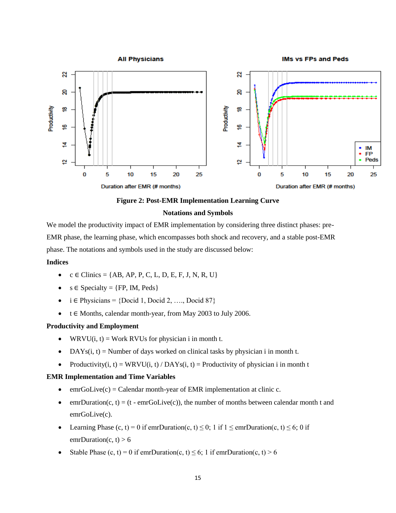

#### **Figure 2: Post-EMR Implementation Learning Curve**

#### **Notations and Symbols**

We model the productivity impact of EMR implementation by considering three distinct phases: pre-

EMR phase, the learning phase, which encompasses both shock and recovery, and a stable post-EMR

phase. The notations and symbols used in the study are discussed below:

#### **Indices**

- $c \in \text{Clinics} = \{AB, AP, P, C, L, D, E, F, J, N, R, U\}$
- s  $\in$  Specialty = {FP, IM, Peds}
- i  $\in$  Physicians = {Docid 1, Docid 2, ..., Docid 87}
- t ∈ Months, calendar month-year, from May 2003 to July 2006.

#### **Productivity and Employment**

- WRVU(i, t) = Work RVUs for physician i in month t.
- $\bullet$  DAYs(i, t) = Number of days worked on clinical tasks by physician i in month t.
- Productivity(i, t) = WRVU(i, t) / DAYs(i, t) = Productivity of physician i in month t

#### **EMR Implementation and Time Variables**

- $\bullet$  emrGoLive(c) = Calendar month-year of EMR implementation at clinic c.
- $\bullet$  emrDuration(c, t) = (t emrGoLive(c)), the number of months between calendar month t and emrGoLive(c).
- Learning Phase (c, t) = 0 if emrDuration(c, t) ≤ 0; 1 if  $1 \le$  emrDuration(c, t) ≤ 6; 0 if emrDuration(c, t) > 6
- Stable Phase  $(c, t) = 0$  if emrDuration $(c, t) \le 6$ ; 1 if emrDuration $(c, t) > 6$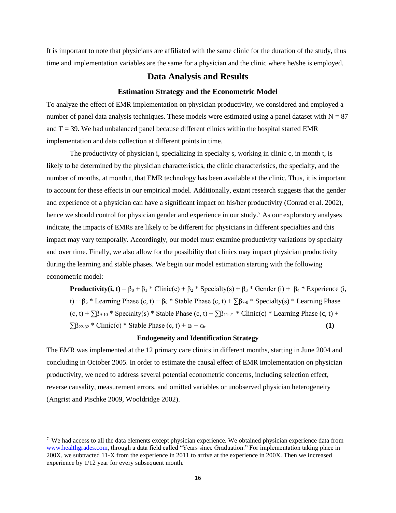It is important to note that physicians are affiliated with the same clinic for the duration of the study, thus time and implementation variables are the same for a physician and the clinic where he/she is employed.

### **Data Analysis and Results**

#### **Estimation Strategy and the Econometric Model**

To analyze the effect of EMR implementation on physician productivity, we considered and employed a number of panel data analysis techniques. These models were estimated using a panel dataset with  $N = 87$ and  $T = 39$ . We had unbalanced panel because different clinics within the hospital started EMR implementation and data collection at different points in time.

The productivity of physician i, specializing in specialty s, working in clinic c, in month t, is likely to be determined by the physician characteristics, the clinic characteristics, the specialty, and the number of months, at month t, that EMR technology has been available at the clinic. Thus, it is important to account for these effects in our empirical model. Additionally, extant research suggests that the gender and experience of a physician can have a significant impact on his/her productivity (Conrad et al. 2002), hence we should control for physician gender and experience in our study.<sup>7</sup> As our exploratory analyses indicate, the impacts of EMRs are likely to be different for physicians in different specialties and this impact may vary temporally. Accordingly, our model must examine productivity variations by specialty and over time. Finally, we also allow for the possibility that clinics may impact physician productivity during the learning and stable phases. We begin our model estimation starting with the following econometric model:

**Productivity(i, t)** =  $\beta_0 + \beta_1 *$  Clinic(c) +  $\beta_2 *$  Specialty(s) +  $\beta_3 *$  Gender (i) +  $\beta_4 *$  Experience (i, t) +  $\beta_5$  \* Learning Phase (c, t) +  $\beta_6$  \* Stable Phase (c, t) +  $\sum \beta_{7-8}$  \* Specialty(s) \* Learning Phase  $(c, t) + \sum \beta_{9-10}$  \* Specialty(s) \* Stable Phase  $(c, t) + \sum \beta_{11-21}$  \* Clinic(c) \* Learning Phase  $(c, t)$  +  $\sum \beta_{22\cdot32}$  \* Clinic(c) \* Stable Phase (c, t) +  $\alpha_i$  +  $\varepsilon_{it}$  (1)

#### **Endogeneity and Identification Strategy**

The EMR was implemented at the 12 primary care clinics in different months, starting in June 2004 and concluding in October 2005. In order to estimate the causal effect of EMR implementation on physician productivity, we need to address several potential econometric concerns, including selection effect, reverse causality, measurement errors, and omitted variables or unobserved physician heterogeneity (Angrist and Pischke 2009, Wooldridge 2002).

 $\overline{a}$ 

 $7.$  We had access to all the data elements except physician experience. We obtained physician experience data from [www.healthgrades.com,](http://www.healthgrades.com/) through a data field called "Years since Graduation." For implementation taking place in 200X, we subtracted 11-X from the experience in 2011 to arrive at the experience in 200X. Then we increased experience by 1/12 year for every subsequent month.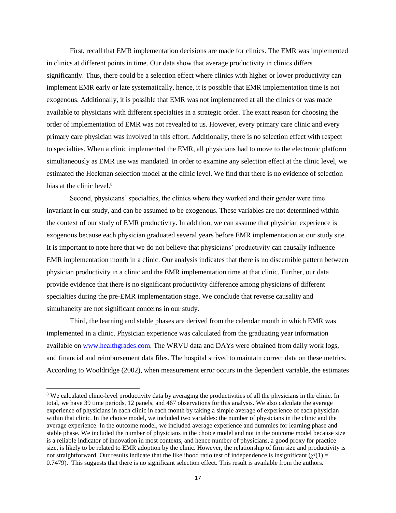First, recall that EMR implementation decisions are made for clinics. The EMR was implemented in clinics at different points in time. Our data show that average productivity in clinics differs significantly. Thus, there could be a selection effect where clinics with higher or lower productivity can implement EMR early or late systematically, hence, it is possible that EMR implementation time is not exogenous. Additionally, it is possible that EMR was not implemented at all the clinics or was made available to physicians with different specialties in a strategic order. The exact reason for choosing the order of implementation of EMR was not revealed to us. However, every primary care clinic and every primary care physician was involved in this effort. Additionally, there is no selection effect with respect to specialties. When a clinic implemented the EMR, all physicians had to move to the electronic platform simultaneously as EMR use was mandated. In order to examine any selection effect at the clinic level, we estimated the Heckman selection model at the clinic level. We find that there is no evidence of selection bias at the clinic level.<sup>8</sup>

Second, physicians' specialties, the clinics where they worked and their gender were time invariant in our study, and can be assumed to be exogenous. These variables are not determined within the context of our study of EMR productivity. In addition, we can assume that physician experience is exogenous because each physician graduated several years before EMR implementation at our study site. It is important to note here that we do not believe that physicians' productivity can causally influence EMR implementation month in a clinic. Our analysis indicates that there is no discernible pattern between physician productivity in a clinic and the EMR implementation time at that clinic. Further, our data provide evidence that there is no significant productivity difference among physicians of different specialties during the pre-EMR implementation stage. We conclude that reverse causality and simultaneity are not significant concerns in our study.

Third, the learning and stable phases are derived from the calendar month in which EMR was implemented in a clinic. Physician experience was calculated from the graduating year information available on [www.healthgrades.com.](http://www.healthgrades.com/) The WRVU data and DAYs were obtained from daily work logs, and financial and reimbursement data files. The hospital strived to maintain correct data on these metrics. According to Wooldridge (2002), when measurement error occurs in the dependent variable, the estimates

 $\overline{a}$ 

<sup>&</sup>lt;sup>8</sup> We calculated clinic-level productivity data by averaging the productivities of all the physicians in the clinic. In total, we have 39 time periods, 12 panels, and 467 observations for this analysis. We also calculate the average experience of physicians in each clinic in each month by taking a simple average of experience of each physician within that clinic. In the choice model, we included two variables: the number of physicians in the clinic and the average experience. In the outcome model, we included average experience and dummies for learning phase and stable phase. We included the number of physicians in the choice model and not in the outcome model because size is a reliable indicator of innovation in most contexts, and hence number of physicians, a good proxy for practice size, is likely to be related to EMR adoption by the clinic. However, the relationship of firm size and productivity is not straightforward. Our results indicate that the likelihood ratio test of independence is insignificant (*[χ](http://en.wikipedia.org/wiki/Chi_(letter))*²(1) = 0.7479). This suggests that there is no significant selection effect. This result is available from the authors.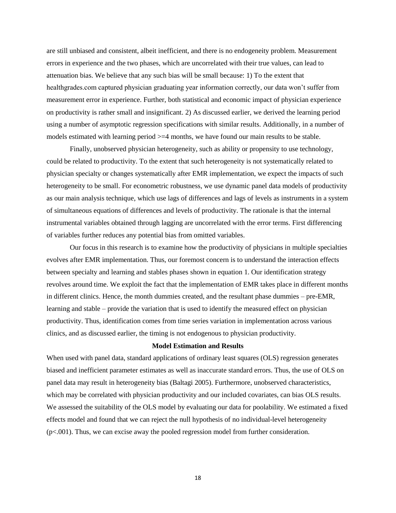are still unbiased and consistent, albeit inefficient, and there is no endogeneity problem. Measurement errors in experience and the two phases, which are uncorrelated with their true values, can lead to attenuation bias. We believe that any such bias will be small because: 1) To the extent that healthgrades.com captured physician graduating year information correctly, our data won't suffer from measurement error in experience. Further, both statistical and economic impact of physician experience on productivity is rather small and insignificant. 2) As discussed earlier, we derived the learning period using a number of asymptotic regression specifications with similar results. Additionally, in a number of models estimated with learning period  $>=$  4 months, we have found our main results to be stable.

Finally, unobserved physician heterogeneity, such as ability or propensity to use technology, could be related to productivity. To the extent that such heterogeneity is not systematically related to physician specialty or changes systematically after EMR implementation, we expect the impacts of such heterogeneity to be small. For econometric robustness, we use dynamic panel data models of productivity as our main analysis technique, which use lags of differences and lags of levels as instruments in a system of simultaneous equations of differences and levels of productivity. The rationale is that the internal instrumental variables obtained through lagging are uncorrelated with the error terms. First differencing of variables further reduces any potential bias from omitted variables.

Our focus in this research is to examine how the productivity of physicians in multiple specialties evolves after EMR implementation. Thus, our foremost concern is to understand the interaction effects between specialty and learning and stables phases shown in equation 1. Our identification strategy revolves around time. We exploit the fact that the implementation of EMR takes place in different months in different clinics. Hence, the month dummies created, and the resultant phase dummies – pre-EMR, learning and stable – provide the variation that is used to identify the measured effect on physician productivity. Thus, identification comes from time series variation in implementation across various clinics, and as discussed earlier, the timing is not endogenous to physician productivity.

#### **Model Estimation and Results**

When used with panel data, standard applications of ordinary least squares (OLS) regression generates biased and inefficient parameter estimates as well as inaccurate standard errors. Thus, the use of OLS on panel data may result in heterogeneity bias (Baltagi 2005). Furthermore, unobserved characteristics, which may be correlated with physician productivity and our included covariates, can bias OLS results. We assessed the suitability of the OLS model by evaluating our data for poolability. We estimated a fixed effects model and found that we can reject the null hypothesis of no individual-level heterogeneity (p<.001). Thus, we can excise away the pooled regression model from further consideration.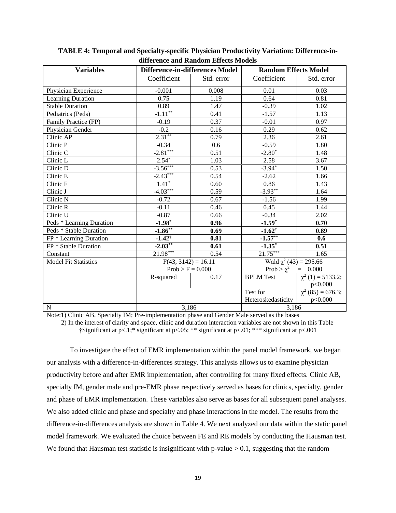| <b>Variables</b>            | Difference-in-differences Model |            | <b>Random Effects Model</b> |                         |  |
|-----------------------------|---------------------------------|------------|-----------------------------|-------------------------|--|
|                             | Coefficient                     | Std. error | Coefficient                 | Std. error              |  |
| Physician Experience        | $-0.001$                        | 0.008      | 0.01                        | 0.03                    |  |
| Learning Duration           | 0.75                            | 1.19       | 0.64                        | 0.81                    |  |
| <b>Stable Duration</b>      | 0.89                            | 1.47       | $-0.39$                     | 1.02                    |  |
| Pediatrics (Peds)           | $-1.11***$                      | 0.41       | $-1.57$                     | 1.13                    |  |
| Family Practice (FP)        | $-0.19$                         | 0.37       | $-0.01$                     | 0.97                    |  |
| Physician Gender            | $-0.2$                          | 0.16       | 0.29                        | 0.62                    |  |
| Clinic AP                   | $\overline{2.31}^{**}$          | 0.79       | 2.36                        | 2.61                    |  |
| Clinic P                    | $-0.34$                         | 0.6        | $-0.59$                     | 1.80                    |  |
| Clinic C                    | $-2.81***$                      | 0.51       | $-2.80*$                    | 1.48                    |  |
| Clinic L                    | $2.54*$                         | 1.03       | 2.58                        | 3.67                    |  |
| Clinic D                    | $-3.56***$                      | 0.53       | $-3.94*$                    | 1.50                    |  |
| Clinic E                    | $-2.43***$                      | 0.54       | $-2.62$                     | 1.66                    |  |
| Clinic F                    | $1.41*$                         | 0.60       | 0.86                        | 1.43                    |  |
| Clinic J                    | $-4.03***$                      | 0.59       | $-3.93**$                   | 1.64                    |  |
| Clinic N                    | $-0.72$                         | 0.67       | $-1.56$                     | 1.99                    |  |
| Clinic R                    | $-0.11$                         | 0.46       | 0.45                        | 1.44                    |  |
| Clinic U                    | $-0.87$                         | 0.66       | $-0.34$                     | 2.02                    |  |
| Peds * Learning Duration    | $-1.98*$                        | 0.96       | $-1.59*$                    | 0.70                    |  |
| Peds * Stable Duration      | $-1.86^{**}$                    | 0.69       | $-1.62^{\dagger}$           | 0.89                    |  |
| FP * Learning Duration      | $-1.42^{\dagger}$               | 0.81       | $-1.57***$                  | 0.6                     |  |
| FP * Stable Duration        | $-2.03**$                       | 0.61       | $-1.35^{*}$                 | 0.51                    |  |
| Constant                    | $21.98***$                      | 0.54       | $21.75***$                  | 1.65                    |  |
| <b>Model Fit Statistics</b> | $F(43, 3142) = 16.11$           |            | Wald $\chi^2$ (43) = 295.66 |                         |  |
|                             | $Prob > F = 0.000$              |            |                             | Prob > $\chi^2$ = 0.000 |  |
|                             | R-squared                       | 0.17       | <b>BPLM Test</b>            | $\chi^2(1) = 5133.2;$   |  |
|                             |                                 |            |                             | p<0.000                 |  |
|                             |                                 |            | Test for                    | $\chi^2$ (85) = 676.3;  |  |
|                             |                                 |            | Heteroskedasticity          | p<0.000                 |  |
| N                           | 3,186                           |            | 3,186                       |                         |  |

**TABLE 4: Temporal and Specialty-specific Physician Productivity Variation: Difference-indifference and Random Effects Models**

Note:1) Clinic AB, Specialty IM; Pre-implementation phase and Gender Male served as the bases

 2) In the interest of clarity and space, clinic and duration interaction variables are not shown in this Table †Significant at p<.1;\* significant at p<.05; \*\* significant at p<.01; \*\*\* significant at p<.001

To investigate the effect of EMR implementation within the panel model framework, we began our analysis with a difference-in-differences strategy. This analysis allows us to examine physician productivity before and after EMR implementation, after controlling for many fixed effects. Clinic AB, specialty IM, gender male and pre-EMR phase respectively served as bases for clinics, specialty, gender and phase of EMR implementation. These variables also serve as bases for all subsequent panel analyses. We also added clinic and phase and specialty and phase interactions in the model. The results from the difference-in-differences analysis are shown in Table 4. We next analyzed our data within the static panel model framework. We evaluated the choice between FE and RE models by conducting the Hausman test. We found that Hausman test statistic is insignificant with  $p$ -value  $> 0.1$ , suggesting that the random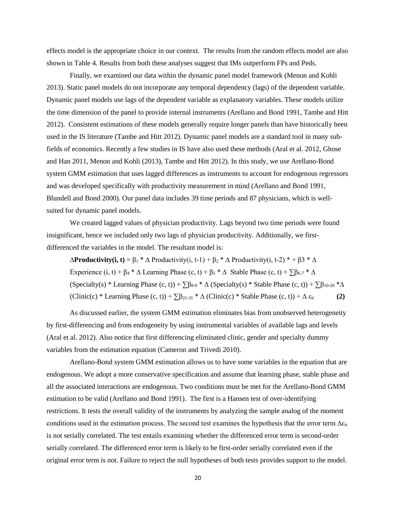effects model is the appropriate choice in our context. The results from the random effects model are also shown in Table 4. Results from both these analyses suggest that IMs outperform FPs and Peds.

Finally, we examined our data within the dynamic panel model framework (Menon and Kohli 2013). Static panel models do not incorporate any temporal dependency (lags) of the dependent variable. Dynamic panel models use lags of the dependent variable as explanatory variables. These models utilize the time dimension of the panel to provide internal instruments (Arellano and Bond 1991, Tambe and Hitt 2012). Consistent estimations of these models generally require longer panels than have historically been used in the IS literature (Tambe and Hitt 2012). Dynamic panel models are a standard tool in many subfields of economics. Recently a few studies in IS have also used these methods (Aral et al. 2012, Ghose and Han 2011, Menon and Kohli (2013), Tambe and Hitt 2012). In this study, we use Arellano-Bond system GMM estimation that uses lagged differences as instruments to account for endogenous regressors and was developed specifically with productivity measurement in mind (Arellano and Bond 1991, Blundell and Bond 2000). Our panel data includes 39 time periods and 87 physicians, which is wellsuited for dynamic panel models.

We created lagged values of physician productivity. Lags beyond two time periods were found insignificant, hence we included only two lags of physician productivity. Additionally, we firstdifferenced the variables in the model. The resultant model is:

 $\Delta$ **Productivity(i, t**) =  $\beta_1 * \Delta$  Productivity(i, t-1) +  $\beta_2 * \Delta$  Productivity(i, t-2) \* +  $\beta_3 * \Delta$ Experience (i, t) +  $\beta_4$  \*  $\Delta$  Learning Phase (c, t) +  $\beta_5$  \*  $\Delta$  Stable Phase (c, t) +  $\sum \beta_{6-7}$  \*  $\Delta$ (Specialty(s) \* Learning Phase (c, t)) +  $\sum \beta_{8-9}$  \*  $\Delta$  (Specialty(s) \* Stable Phase (c, t)) +  $\sum \beta_{10-20}$  \* $\Delta$ (Clinic(c) \* Learning Phase (c, t)) +  $\sum$ β<sub>21-31</sub> \* Δ (Clinic(c) \* Stable Phase (c, t)) + Δ ε<sub>it</sub> (2)

As discussed earlier, the system GMM estimation eliminates bias from unobserved heterogeneity by first-differencing and from endogeneity by using instrumental variables of available lags and levels (Aral et al. 2012). Also notice that first differencing eliminated clinic, gender and specialty dummy variables from the estimation equation (Cameron and Trivedi 2010).

Arellano-Bond system GMM estimation allows us to have some variables in the equation that are endogenous. We adopt a more conservative specification and assume that learning phase, stable phase and all the associated interactions are endogenous. Two conditions must be met for the Arellano-Bond GMM estimation to be valid (Arellano and Bond 1991). The first is a Hansen test of over-identifying restrictions. It tests the overall validity of the instruments by analyzing the sample analog of the moment conditions used in the estimation process. The second test examines the hypothesis that the error term  $\Delta \varepsilon_{it}$ is not serially correlated. The test entails examining whether the differenced error term is second-order serially correlated. The differenced error term is likely to be first-order serially correlated even if the original error term is not. Failure to reject the null hypotheses of both tests provides support to the model.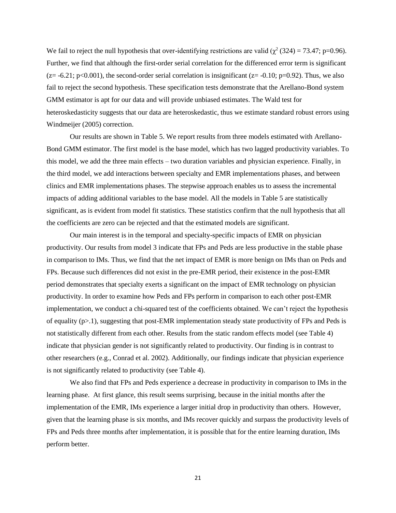We fail to reject the null hypothesis that over-identifying restrictions are valid ( $\chi^2$  (324) = 73.47; p=0.96). Further, we find that although the first-order serial correlation for the differenced error term is significant (z= -6.21; p<0.001), the second-order serial correlation is insignificant (z= -0.10; p=0.92). Thus, we also fail to reject the second hypothesis. These specification tests demonstrate that the Arellano-Bond system GMM estimator is apt for our data and will provide unbiased estimates. The Wald test for heteroskedasticity suggests that our data are heteroskedastic, thus we estimate standard robust errors using Windmeijer (2005) correction.

Our results are shown in Table 5. We report results from three models estimated with Arellano-Bond GMM estimator. The first model is the base model, which has two lagged productivity variables. To this model, we add the three main effects – two duration variables and physician experience. Finally, in the third model, we add interactions between specialty and EMR implementations phases, and between clinics and EMR implementations phases. The stepwise approach enables us to assess the incremental impacts of adding additional variables to the base model. All the models in Table 5 are statistically significant, as is evident from model fit statistics. These statistics confirm that the null hypothesis that all the coefficients are zero can be rejected and that the estimated models are significant.

Our main interest is in the temporal and specialty-specific impacts of EMR on physician productivity. Our results from model 3 indicate that FPs and Peds are less productive in the stable phase in comparison to IMs. Thus, we find that the net impact of EMR is more benign on IMs than on Peds and FPs. Because such differences did not exist in the pre-EMR period, their existence in the post-EMR period demonstrates that specialty exerts a significant on the impact of EMR technology on physician productivity. In order to examine how Peds and FPs perform in comparison to each other post-EMR implementation, we conduct a chi-squared test of the coefficients obtained. We can't reject the hypothesis of equality  $(p>1)$ , suggesting that post-EMR implementation steady state productivity of FPs and Peds is not statistically different from each other. Results from the static random effects model (see Table 4) indicate that physician gender is not significantly related to productivity. Our finding is in contrast to other researchers (e.g., Conrad et al. 2002). Additionally, our findings indicate that physician experience is not significantly related to productivity (see Table 4).

We also find that FPs and Peds experience a decrease in productivity in comparison to IMs in the learning phase. At first glance, this result seems surprising, because in the initial months after the implementation of the EMR, IMs experience a larger initial drop in productivity than others. However, given that the learning phase is six months, and IMs recover quickly and surpass the productivity levels of FPs and Peds three months after implementation, it is possible that for the entire learning duration, IMs perform better.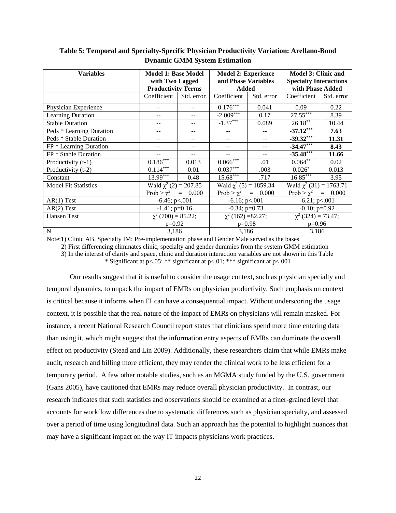| <b>Variables</b>            | <b>Model 1: Base Model</b><br>with Two Lagged<br><b>Productivity Terms</b> |            | <b>Model 2: Experience</b><br>and Phase Variables<br><b>Added</b> |            | <b>Model 3: Clinic and</b><br><b>Specialty Interactions</b><br>with Phase Added |            |
|-----------------------------|----------------------------------------------------------------------------|------------|-------------------------------------------------------------------|------------|---------------------------------------------------------------------------------|------------|
|                             | Coefficient                                                                | Std. error | Coefficient                                                       | Std. error | Coefficient                                                                     | Std. error |
| Physician Experience        |                                                                            |            | $0.176***$                                                        | 0.041      | 0.09                                                                            | 0.22       |
| Learning Duration           |                                                                            |            | $-2.009***$                                                       | 0.17       | $27.55***$                                                                      | 8.39       |
| <b>Stable Duration</b>      |                                                                            |            | $-1.37***$                                                        | 0.089      | $26.18***$                                                                      | 10.44      |
| Peds * Learning Duration    |                                                                            | --         |                                                                   |            | $-37.12$                                                                        | 7.63       |
| Peds * Stable Duration      |                                                                            |            |                                                                   |            | $-39.32***$                                                                     | 11.31      |
| FP * Learning Duration      |                                                                            | --         |                                                                   |            | $-34.47***$                                                                     | 8.43       |
| FP * Stable Duration        |                                                                            |            |                                                                   |            | $-35.48$ ***                                                                    | 11.66      |
| Productivity (t-1)          | $0.186***$                                                                 | 0.013      | $0.066***$                                                        | .01        | $0.064***$                                                                      | 0.02       |
| Productivity (t-2)          | $0.114$ ***                                                                | 0.01       | $0.037***$                                                        | .003       | $0.026*$                                                                        | 0.013      |
| Constant                    | $13.99***$                                                                 | 0.48       | $15.68***$                                                        | .717       | $16.85***$                                                                      | 3.95       |
| <b>Model Fit Statistics</b> | Wald $\chi^2$ (2) = 207.85                                                 |            | Wald $\chi^2$ (5) = 1859.34                                       |            | Wald $\chi^2$ (31) = 1763.71                                                    |            |
|                             | Prob > $\chi^2$ = 0.000                                                    |            | Prob > $\gamma^2$ = 0.000                                         |            | Prob > $\chi^2$ = 0.000                                                         |            |
| $AR(1)$ Test                | $-6.46$ ; p $< 0.01$                                                       |            | $-6.16$ ; p $< .001$                                              |            | $-6.21$ ; p $< .001$                                                            |            |
| $AR(2)$ Test                | $-1.41$ ; p=0.16                                                           |            | $-0.34$ ; p=0.73                                                  |            | $-0.10; p=0.92$                                                                 |            |
| <b>Hansen Test</b>          | $\chi^2$ (700) = 85.22;                                                    |            | $\chi^2$ (162) =82.27;                                            |            | $\chi^2$ (324) = 73.47;                                                         |            |
|                             | $p=0.92$                                                                   |            | $p=0.98$                                                          |            | $p=0.96$                                                                        |            |
| N                           | 3,186                                                                      |            | 3,186                                                             |            | 3,186                                                                           |            |

**Table 5: Temporal and Specialty-Specific Physician Productivity Variation: Arellano-Bond Dynamic GMM System Estimation**

Note:1) Clinic AB, Specialty IM; Pre-implementation phase and Gender Male served as the bases

 2) First differencing eliminates clinic, specialty and gender dummies from the system GMM estimation 3) In the interest of clarity and space, clinic and duration interaction variables are not shown in this Table

\* Significant at p<.05; \*\* significant at p<.01; \*\*\* significant at p<.001

Our results suggest that it is useful to consider the usage context, such as physician specialty and temporal dynamics, to unpack the impact of EMRs on physician productivity. Such emphasis on context is critical because it informs when IT can have a consequential impact. Without underscoring the usage context, it is possible that the real nature of the impact of EMRs on physicians will remain masked. For instance, a recent National Research Council report states that clinicians spend more time entering data than using it, which might suggest that the information entry aspects of EMRs can dominate the overall effect on productivity (Stead and Lin 2009). Additionally, these researchers claim that while EMRs make audit, research and billing more efficient, they may render the clinical work to be less efficient for a temporary period. A few other notable studies, such as an MGMA study funded by the U.S. government (Gans 2005), have cautioned that EMRs may reduce overall physician productivity. In contrast, our research indicates that such statistics and observations should be examined at a finer-grained level that accounts for workflow differences due to systematic differences such as physician specialty, and assessed over a period of time using longitudinal data. Such an approach has the potential to highlight nuances that may have a significant impact on the way IT impacts physicians work practices.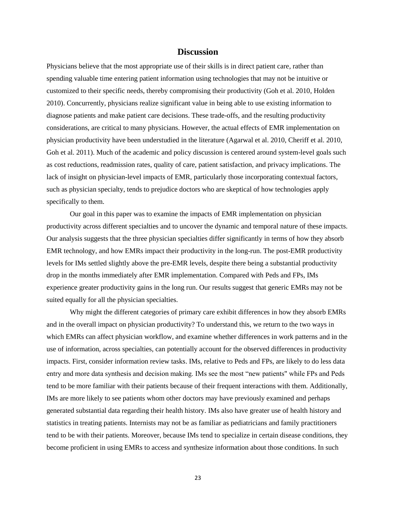#### **Discussion**

Physicians believe that the most appropriate use of their skills is in direct patient care, rather than spending valuable time entering patient information using technologies that may not be intuitive or customized to their specific needs, thereby compromising their productivity (Goh et al. 2010, Holden 2010). Concurrently, physicians realize significant value in being able to use existing information to diagnose patients and make patient care decisions. These trade-offs, and the resulting productivity considerations, are critical to many physicians. However, the actual effects of EMR implementation on physician productivity have been understudied in the literature (Agarwal et al. 2010, Cheriff et al. 2010, Goh et al. 2011). Much of the academic and policy discussion is centered around system-level goals such as cost reductions, readmission rates, quality of care, patient satisfaction, and privacy implications. The lack of insight on physician-level impacts of EMR, particularly those incorporating contextual factors, such as physician specialty, tends to prejudice doctors who are skeptical of how technologies apply specifically to them.

Our goal in this paper was to examine the impacts of EMR implementation on physician productivity across different specialties and to uncover the dynamic and temporal nature of these impacts. Our analysis suggests that the three physician specialties differ significantly in terms of how they absorb EMR technology, and how EMRs impact their productivity in the long-run. The post-EMR productivity levels for IMs settled slightly above the pre-EMR levels, despite there being a substantial productivity drop in the months immediately after EMR implementation. Compared with Peds and FPs, IMs experience greater productivity gains in the long run. Our results suggest that generic EMRs may not be suited equally for all the physician specialties.

Why might the different categories of primary care exhibit differences in how they absorb EMRs and in the overall impact on physician productivity? To understand this, we return to the two ways in which EMRs can affect physician workflow, and examine whether differences in work patterns and in the use of information, across specialties, can potentially account for the observed differences in productivity impacts. First, consider information review tasks. IMs, relative to Peds and FPs, are likely to do less data entry and more data synthesis and decision making. IMs see the most "new patients" while FPs and Peds tend to be more familiar with their patients because of their frequent interactions with them. Additionally, IMs are more likely to see patients whom other doctors may have previously examined and perhaps generated substantial data regarding their health history. IMs also have greater use of health history and statistics in treating patients. Internists may not be as familiar as pediatricians and family practitioners tend to be with their patients. Moreover, because IMs tend to specialize in certain disease conditions, they become proficient in using EMRs to access and synthesize information about those conditions. In such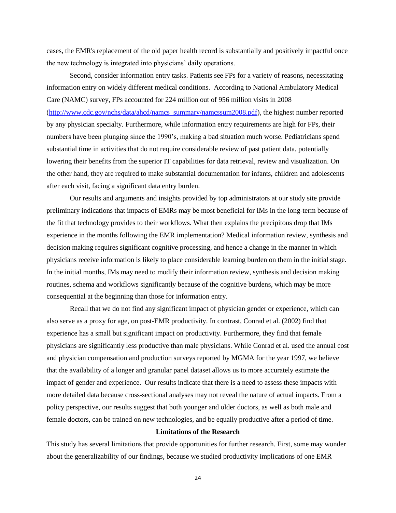cases, the EMR's replacement of the old paper health record is substantially and positively impactful once the new technology is integrated into physicians' daily operations.

Second, consider information entry tasks. Patients see FPs for a variety of reasons, necessitating information entry on widely different medical conditions. According to National Ambulatory Medical Care (NAMC) survey, FPs accounted for 224 million out of 956 million visits in 2008 [\(http://www.cdc.gov/nchs/data/ahcd/namcs\\_summary/namcssum2008.pdf\)](http://www.cdc.gov/nchs/data/ahcd/namcs_summary/namcssum2008.pdf), the highest number reported by any physician specialty. Furthermore, while information entry requirements are high for FPs, their numbers have been plunging since the 1990's, making a bad situation much worse. Pediatricians spend substantial time in activities that do not require considerable review of past patient data, potentially lowering their benefits from the superior IT capabilities for data retrieval, review and visualization. On the other hand, they are required to make substantial documentation for infants, children and adolescents after each visit, facing a significant data entry burden.

Our results and arguments and insights provided by top administrators at our study site provide preliminary indications that impacts of EMRs may be most beneficial for IMs in the long-term because of the fit that technology provides to their workflows. What then explains the precipitous drop that IMs experience in the months following the EMR implementation? Medical information review, synthesis and decision making requires significant cognitive processing, and hence a change in the manner in which physicians receive information is likely to place considerable learning burden on them in the initial stage. In the initial months, IMs may need to modify their information review, synthesis and decision making routines, schema and workflows significantly because of the cognitive burdens, which may be more consequential at the beginning than those for information entry.

Recall that we do not find any significant impact of physician gender or experience, which can also serve as a proxy for age, on post-EMR productivity. In contrast, Conrad et al. (2002) find that experience has a small but significant impact on productivity. Furthermore, they find that female physicians are significantly less productive than male physicians. While Conrad et al. used the annual cost and physician compensation and production surveys reported by MGMA for the year 1997, we believe that the availability of a longer and granular panel dataset allows us to more accurately estimate the impact of gender and experience. Our results indicate that there is a need to assess these impacts with more detailed data because cross-sectional analyses may not reveal the nature of actual impacts. From a policy perspective, our results suggest that both younger and older doctors, as well as both male and female doctors, can be trained on new technologies, and be equally productive after a period of time.

#### **Limitations of the Research**

This study has several limitations that provide opportunities for further research. First, some may wonder about the generalizability of our findings, because we studied productivity implications of one EMR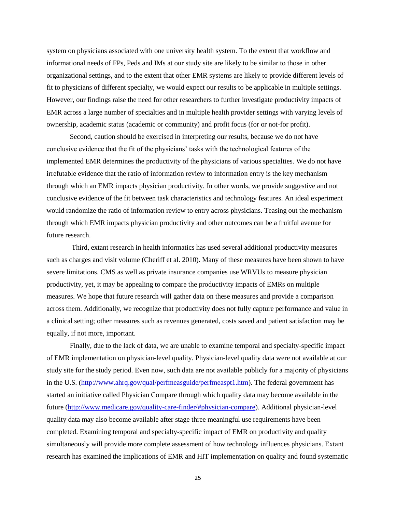system on physicians associated with one university health system. To the extent that workflow and informational needs of FPs, Peds and IMs at our study site are likely to be similar to those in other organizational settings, and to the extent that other EMR systems are likely to provide different levels of fit to physicians of different specialty, we would expect our results to be applicable in multiple settings. However, our findings raise the need for other researchers to further investigate productivity impacts of EMR across a large number of specialties and in multiple health provider settings with varying levels of ownership, academic status (academic or community) and profit focus (for or not-for profit).

Second, caution should be exercised in interpreting our results, because we do not have conclusive evidence that the fit of the physicians' tasks with the technological features of the implemented EMR determines the productivity of the physicians of various specialties. We do not have irrefutable evidence that the ratio of information review to information entry is the key mechanism through which an EMR impacts physician productivity. In other words, we provide suggestive and not conclusive evidence of the fit between task characteristics and technology features. An ideal experiment would randomize the ratio of information review to entry across physicians. Teasing out the mechanism through which EMR impacts physician productivity and other outcomes can be a fruitful avenue for future research.

Third, extant research in health informatics has used several additional productivity measures such as charges and visit volume (Cheriff et al. 2010). Many of these measures have been shown to have severe limitations. CMS as well as private insurance companies use WRVUs to measure physician productivity, yet, it may be appealing to compare the productivity impacts of EMRs on multiple measures. We hope that future research will gather data on these measures and provide a comparison across them. Additionally, we recognize that productivity does not fully capture performance and value in a clinical setting; other measures such as revenues generated, costs saved and patient satisfaction may be equally, if not more, important.

Finally, due to the lack of data, we are unable to examine temporal and specialty-specific impact of EMR implementation on physician-level quality. Physician-level quality data were not available at our study site for the study period. Even now, such data are not available publicly for a majority of physicians in the U.S. [\(http://www.ahrq.gov/qual/perfmeasguide/perfmeaspt1.htm\)](http://www.ahrq.gov/qual/perfmeasguide/perfmeaspt1.htm). The federal government has started an initiative called Physician Compare through which quality data may become available in the future [\(http://www.medicare.gov/quality-care-finder/#physician-compare\)](http://www.medicare.gov/quality-care-finder/#physician-compare). Additional physician-level quality data may also become available after stage three meaningful use requirements have been completed. Examining temporal and specialty-specific impact of EMR on productivity and quality simultaneously will provide more complete assessment of how technology influences physicians. Extant research has examined the implications of EMR and HIT implementation on quality and found systematic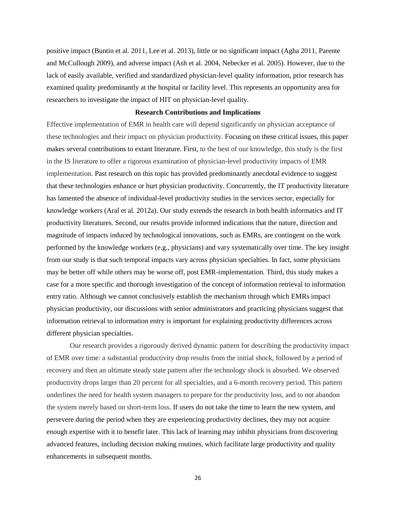positive impact (Buntin et al. 2011, Lee et al. 2013), little or no significant impact (Agha 2011, Parente and McCullough 2009), and adverse impact (Ash et al. 2004, Nebecker et al. 2005). However, due to the lack of easily available, verified and standardized physician-level quality information, prior research has examined quality predominantly at the hospital or facility level. This represents an opportunity area for researchers to investigate the impact of HIT on physician-level quality.

#### **Research Contributions and Implications**

Effective implementation of EMR in health care will depend significantly on physician acceptance of these technologies and their impact on physician productivity. Focusing on these critical issues, this paper makes several contributions to extant literature. First, to the best of our knowledge, this study is the first in the IS literature to offer a rigorous examination of physician-level productivity impacts of EMR implementation. Past research on this topic has provided predominantly anecdotal evidence to suggest that these technologies enhance or hurt physician productivity. Concurrently, the IT productivity literature has lamented the absence of individual-level productivity studies in the services sector, especially for knowledge workers (Aral et al. 2012a). Our study extends the research in both health informatics and IT productivity literatures. Second, our results provide informed indications that the nature, direction and magnitude of impacts induced by technological innovations, such as EMRs, are contingent on the work performed by the knowledge workers (e.g., physicians) and vary systematically over time. The key insight from our study is that such temporal impacts vary across physician specialties. In fact, some physicians may be better off while others may be worse off, post EMR-implementation. Third, this study makes a case for a more specific and thorough investigation of the concept of information retrieval to information entry ratio. Although we cannot conclusively establish the mechanism through which EMRs impact physician productivity, our discussions with senior administrators and practicing physicians suggest that information retrieval to information entry is important for explaining productivity differences across different physician specialties.

Our research provides a rigorously derived dynamic pattern for describing the productivity impact of EMR over time: a substantial productivity drop results from the initial shock, followed by a period of recovery and then an ultimate steady state pattern after the technology shock is absorbed. We observed productivity drops larger than 20 percent for all specialties, and a 6-month recovery period. This pattern underlines the need for health system managers to prepare for the productivity loss, and to not abandon the system merely based on short-term loss. If users do not take the time to learn the new system, and persevere during the period when they are experiencing productivity declines, they may not acquire enough expertise with it to benefit later. This lack of learning may inhibit physicians from discovering advanced features, including decision making routines, which facilitate large productivity and quality enhancements in subsequent months.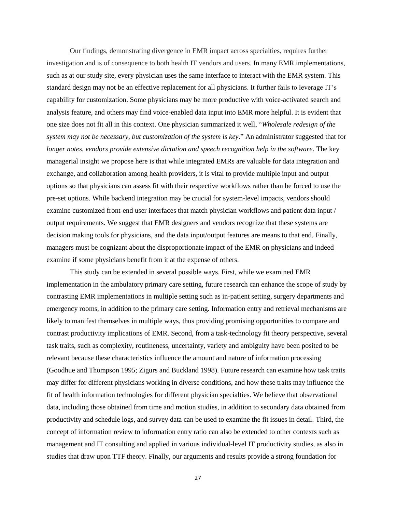Our findings, demonstrating divergence in EMR impact across specialties, requires further investigation and is of consequence to both health IT vendors and users. In many EMR implementations, such as at our study site, every physician uses the same interface to interact with the EMR system. This standard design may not be an effective replacement for all physicians. It further fails to leverage IT's capability for customization. Some physicians may be more productive with voice-activated search and analysis feature, and others may find voice-enabled data input into EMR more helpful. It is evident that one size does not fit all in this context. One physician summarized it well, "*Wholesale redesign of the system may not be necessary, but customization of the system is key*." An administrator suggested that for *longer notes, vendors provide extensive dictation and speech recognition help in the software*. The key managerial insight we propose here is that while integrated EMRs are valuable for data integration and exchange, and collaboration among health providers, it is vital to provide multiple input and output options so that physicians can assess fit with their respective workflows rather than be forced to use the pre-set options. While backend integration may be crucial for system-level impacts, vendors should examine customized front-end user interfaces that match physician workflows and patient data input / output requirements. We suggest that EMR designers and vendors recognize that these systems are decision making tools for physicians, and the data input/output features are means to that end. Finally, managers must be cognizant about the disproportionate impact of the EMR on physicians and indeed examine if some physicians benefit from it at the expense of others.

This study can be extended in several possible ways. First, while we examined EMR implementation in the ambulatory primary care setting, future research can enhance the scope of study by contrasting EMR implementations in multiple setting such as in-patient setting, surgery departments and emergency rooms, in addition to the primary care setting. Information entry and retrieval mechanisms are likely to manifest themselves in multiple ways, thus providing promising opportunities to compare and contrast productivity implications of EMR. Second, from a task-technology fit theory perspective, several task traits, such as complexity, routineness, uncertainty, variety and ambiguity have been posited to be relevant because these characteristics influence the amount and nature of information processing (Goodhue and Thompson 1995; Zigurs and Buckland 1998). Future research can examine how task traits may differ for different physicians working in diverse conditions, and how these traits may influence the fit of health information technologies for different physician specialties. We believe that observational data, including those obtained from time and motion studies, in addition to secondary data obtained from productivity and schedule logs, and survey data can be used to examine the fit issues in detail. Third, the concept of information review to information entry ratio can also be extended to other contexts such as management and IT consulting and applied in various individual-level IT productivity studies, as also in studies that draw upon TTF theory. Finally, our arguments and results provide a strong foundation for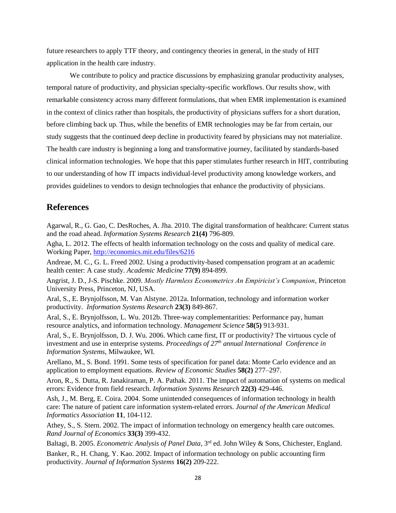future researchers to apply TTF theory, and contingency theories in general, in the study of HIT application in the health care industry.

We contribute to policy and practice discussions by emphasizing granular productivity analyses, temporal nature of productivity, and physician specialty-specific workflows. Our results show, with remarkable consistency across many different formulations, that when EMR implementation is examined in the context of clinics rather than hospitals, the productivity of physicians suffers for a short duration, before climbing back up. Thus, while the benefits of EMR technologies may be far from certain, our study suggests that the continued deep decline in productivity feared by physicians may not materialize. The health care industry is beginning a long and transformative journey, facilitated by standards-based clinical information technologies. We hope that this paper stimulates further research in HIT, contributing to our understanding of how IT impacts individual-level productivity among knowledge workers, and provides guidelines to vendors to design technologies that enhance the productivity of physicians.

### **References**

Agarwal, R., G. Gao, C. DesRoches, A. Jha. 2010. The digital transformation of healthcare: Current status and the road ahead. *Information Systems Research* **21(4)** 796-809.

Agha, L. 2012. The effects of health information technology on the costs and quality of medical care. Working Paper,<http://economics.mit.edu/files/6216>

Andreae, M. C., G. L. Freed 2002. Using a productivity-based compensation program at an academic health center: A case study. *Academic Medicine* **77(9)** 894-899.

Angrist, J. D., J-S. Pischke. 2009. *Mostly Harmless Econometrics An Empiricist's Companion*, Princeton University Press, Princeton, NJ, USA.

Aral, S., E. Brynjolfsson, M. Van Alstyne. 2012a. Information, technology and information worker productivity. *Information Systems Research* **23(3)** 849-867.

Aral, S., E. Brynjolfsson, L. Wu. 2012b. Three-way complementarities: Performance pay, human resource analytics, and information technology. *Management Science* **58(5)** 913-931.

Aral, S., E. Brynjolfsson, D. J. Wu. 2006. Which came first, IT or productivity? The virtuous cycle of investment and use in enterprise systems. *Proceedings of 27th annual International Conference in Information Systems*, Milwaukee, WI.

Arellano, M., S. Bond. 1991. Some tests of specification for panel data: Monte Carlo evidence and an application to employment equations. *Review of Economic Studies* **58(2)** 277–297.

Aron, R., S. Dutta, R. Janakiraman, P. A. Pathak. 2011. The impact of automation of systems on medical errors: Evidence from field research. *Information Systems Research* **22(3)** 429-446.

Ash, J., M. Berg, E. Coira. 2004. Some unintended consequences of information technology in health care: The nature of patient care information system-related errors. *Journal of the American Medical Informatics Association* **11**, 104-112.

Athey, S., S. Stern. 2002. The impact of information technology on emergency health care outcomes. *Rand Journal of Economics* **33(3)** 399-432.

Baltagi, B. 2005. *Econometric Analysis of Panel Data*, 3<sup>rd</sup> ed. John Wiley & Sons, Chichester, England.

Banker, R., H. Chang, Y. Kao. 2002. Impact of information technology on public accounting firm productivity. *Journal of Information Systems* **16(2)** 209-222.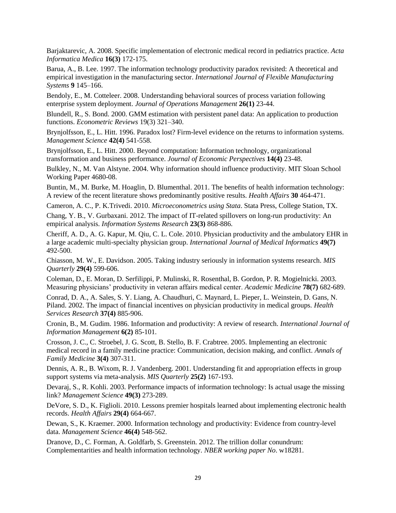Barjaktarevic, A. 2008. Specific implementation of electronic medical record in pediatrics practice. *Acta Informatica Medica* **16(3)** 172-175.

Barua, A., B. Lee. 1997. The information technology productivity paradox revisited: A theoretical and empirical investigation in the manufacturing sector. *International Journal of Flexible Manufacturing Systems* **9** 145–166.

Bendoly, E., M. Cotteleer. 2008. Understanding behavioral sources of process variation following enterprise system deployment. *Journal of Operations Management* **26(1)** 23-44.

Blundell, R., S. Bond. 2000. GMM estimation with persistent panel data: An application to production functions. *Econometric Reviews* 19(3) 321–340.

Brynjolfsson, E., L. Hitt. 1996. Paradox lost? Firm-level evidence on the returns to information systems. *Management Science* **42(4)** 541-558.

Brynjolfsson, E., L. Hitt. 2000. Beyond computation: Information technology, organizational transformation and business performance. *Journal of Economic Perspectives* **14(4)** 23-48.

Bulkley, N., M. Van Alstyne. 2004. Why information should influence productivity. MIT Sloan School Working Paper 4680-08.

Buntin, M., M. Burke, M. Hoaglin, D. Blumenthal. 2011. The benefits of health information technology: A review of the recent literature shows predominantly positive results. *Health Affairs* **30** 464-471.

Cameron, A. C., P. K.Trivedi. 2010. *Microeconometrics using Stata*. Stata Press, College Station, TX.

Chang, Y. B., V. Gurbaxani. 2012. The impact of IT-related spillovers on long-run productivity: An empirical analysis. *Information Systems Research* **23(3)** 868-886.

Cheriff, A. D., A. G. Kapur, M. Qiu, C. L. Cole. 2010. Physician productivity and the ambulatory EHR in a large academic multi-specialty physician group. *[International Journal of Medical Informatics](http://www.ijmijournal.com/issues/contents?issue_key=S1386-5056(10)X0007-7)* **49(7)** 492-500.

Chiasson, M. W., E. Davidson. 2005. Taking industry seriously in information systems research. *MIS Quarterly* **29(4)** 599-606.

Coleman, D., E. Moran, D. Serfilippi, P. Mulinski, R. Rosenthal, B. Gordon, P. R. Mogielnicki. 2003. Measuring physicians' productivity in veteran affairs medical center. *Academic Medicine* **78(7)** 682-689.

Conrad, D. A., A. Sales, S. Y. Liang, A. Chaudhuri, C. Maynard, L. Pieper, L. Weinstein, D. Gans, N. Piland. 2002. The impact of financial incentives on physician productivity in medical groups. *Health Services Research* **37(4)** 885-906.

Cronin, B., M. Gudim. 1986. Information and productivity: A review of research. *International Journal of Information Management* **6(2)** 85-101.

Crosson, J. C., C. Stroebel, J. G. Scott, B. Stello, B. F. Crabtree. 2005. Implementing an electronic medical record in a family medicine practice: Communication, decision making, and conflict. *Annals of Family Medicine* **3(4)** 307-311.

Dennis, A. R., B. Wixom, R. J. Vandenberg. 2001. Understanding fit and appropriation effects in group support systems via meta-analysis. *MIS Quarterly* **25(2)** 167-193.

Devaraj, S., R. Kohli. 2003. Performance impacts of information technology: Is actual usage the missing link? *Management Science* **49(3)** 273-289.

DeVore, S. D., K. Figlioli. 2010. Lessons premier hospitals learned about implementing electronic health records. *Health Affairs* **29(4)** 664-667.

Dewan, S., K. Kraemer. 2000. Information technology and productivity: Evidence from country-level data. *Management Science* **46(4)** 548-562.

Dranove, D., C. Forman, A. Goldfarb, S. Greenstein. 2012. The trillion dollar conundrum: Complementarities and health information technology. *NBER working paper No*. w18281.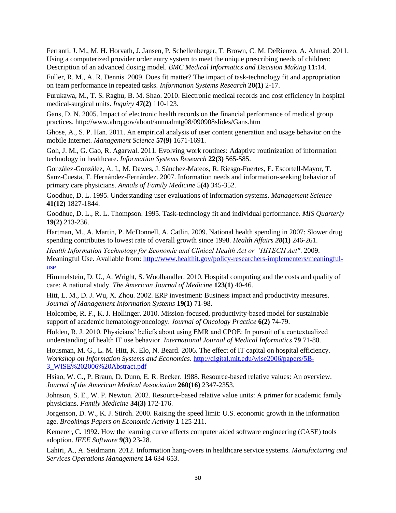Ferranti, J. M., M. H. Horvath, J. Jansen, P. Schellenberger, T. Brown, C. M. DeRienzo, A. Ahmad. 2011. Using a computerized provider order entry system to meet the unique prescribing needs of children: Description of an advanced dosing model. *BMC Medical Informatics and Decision Making* **11:**14.

Fuller, R. M., A. R. Dennis. 2009. Does fit matter? The impact of task-technology fit and appropriation on team performance in repeated tasks. *Information Systems Research* **20(1)** 2-17.

Furukawa, M., T. S. Raghu, B. M. Shao. 2010. Electronic medical records and cost efficiency in hospital medical-surgical units. *Inquiry* **47(2)** 110-123.

Gans, D. N. 2005. Impact of electronic health records on the financial performance of medical group practices. http://www.ahrq.gov/about/annualmtg08/090908slides/Gans.htm

Ghose, A., S. P. Han. 2011. An empirical analysis of user content generation and usage behavior on the mobile Internet. *Management Science* **57(9)** 1671-1691.

Goh, J. M., G. Gao, R. Agarwal. 2011. Evolving work routines: Adaptive routinization of information technology in healthcare. *Information Systems Research* **22(3)** 565-585.

González-González, A. I., M. Dawes, J. Sánchez-Mateos, R. Riesgo-Fuertes, E. Escortell-Mayor, T. Sanz-Cuesta, T. Hernández-Fernández. 2007. Information needs and information-seeking behavior of primary care physicians. *Annals of Family Medicine* 5**(4)** 345-352.

Goodhue, D. L. 1995. Understanding user evaluations of information systems. *Management Science* **41(12)** 1827-1844.

Goodhue, D. L., R. L. Thompson. 1995. Task-technology fit and individual performance. *MIS Quarterly*  **19(2)** 213-236.

Hartman, M., A. Martin, P. McDonnell, A. Catlin. 2009. National health spending in 2007: Slower drug spending contributes to lowest rate of overall growth since 1998. *Health Affairs 28***(1)** 246-261.

*Health Information Technology for Economic and Clinical Health Act or "HITECH Act"*. 2009. Meaningful Use. Available from: [http://www.healthit.gov/policy-researchers-implementers/meaningful](http://www.healthit.gov/policy-researchers-implementers/meaningful-use)[use](http://www.healthit.gov/policy-researchers-implementers/meaningful-use)

Himmelstein, D. U., A. Wright, S. Woolhandler. 2010. Hospital computing and the costs and quality of care: A national study. *The American Journal of Medicine* **123(1)** 40-46.

Hitt, L. M., D. J. Wu, X. Zhou. 2002. ERP investment: Business impact and productivity measures. *Journal of Management Information Systems* **19(1)** 71-98.

Holcombe, R. F., K. J. Hollinger. 2010. Mission-focused, productivity-based model for sustainable support of academic hematology/oncology. *Journal of Oncology Practice* **6(2)** 74-79.

Holden, R. J. 2010. Physicians' beliefs about using EMR and CPOE: In pursuit of a contextualized understanding of health IT use behavior. *International Journal of Medical Informatics* **79** 71-80.

Housman, M. G., L. M. Hitt, K. Elo, N. Beard. 2006. The effect of IT capital on hospital efficiency. *Workshop on Information Systems and Economics*. [http://digital.mit.edu/wise2006/papers/5B-](http://digital.mit.edu/wise2006/papers/5B-3_WISE%202006%20Abstract.pdf)[3\\_WISE%202006%20Abstract.pdf](http://digital.mit.edu/wise2006/papers/5B-3_WISE%202006%20Abstract.pdf)

Hsiao, W. C., P. Braun, D. Dunn, E. R. Becker. 1988. Resource-based relative values: An overview. *Journal of the American Medical Association* **260(16)** 2347-2353.

Johnson, S. E., W. P. Newton. 2002. Resource-based relative value units: A primer for academic family physicians. *Family Medicine* **34(3)** 172-176.

Jorgenson, D. W., K. J. Stiroh. 2000. Raising the speed limit: U.S. economic growth in the information age. *Brookings Papers on Economic Activity* **1** 125-211.

Kemerer, C. 1992. How the learning curve affects computer aided software engineering (CASE) tools adoption. *IEEE Software* **9(3)** 23-28.

Lahiri, A., A. Seidmann. 2012. Information hang-overs in healthcare service systems. *Manufacturing and Services Operations Management* **14** 634-653.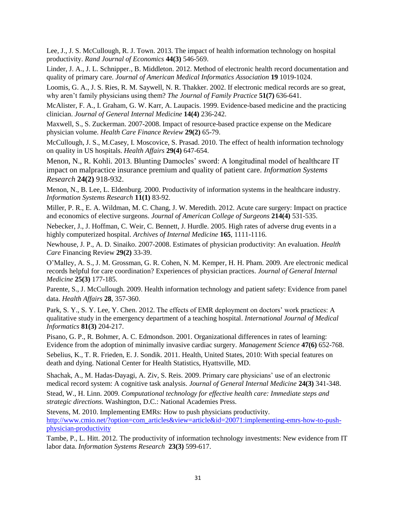Lee, J., J. S. McCullough, R. J. Town. 2013. The impact of health information technology on hospital productivity. *Rand Journal of Economics* **44(3)** 546-569.

Linder, J. A., J. L. Schnipper., B. Middleton. 2012. Method of electronic health record documentation and quality of primary care. *Journal of American Medical Informatics Association* **19** 1019-1024.

Loomis, G. A., J. S. Ries, R. M. Saywell, N. R. Thakker. 2002. If electronic medical records are so great, why aren't family physicians using them? *The Journal of Family Practice* **51(7)** 636-641.

McAlister, F. A., I. Graham, G. W. Karr, A. Laupacis. 1999. Evidence-based medicine and the practicing clinician. *Journal of General Internal Medicine* **14(4)** 236-242.

Maxwell, S., S. Zuckerman. 2007-2008. Impact of resource-based practice expense on the Medicare physician volume. *Health Care Finance Review* **29(2)** 65-79.

McCullough, J. S., M.Casey, I. Moscovice, S. Prasad. 2010. The effect of health information technology on quality in US hospitals. *Health Affairs* **29(4)** 647-654.

Menon, N., R. Kohli. 2013. Blunting Damocles' sword: A longitudinal model of healthcare IT impact on malpractice insurance premium and quality of patient care. *Information Systems Research* **24(2)** 918-932.

Menon, N., B. Lee, L. Eldenburg. 2000. Productivity of information systems in the healthcare industry. *Information Systems Research* **11(1)** 83-92.

Miller, P. R., E. A. Wildman, M. C. Chang, J. W. Meredith. 2012. Acute care surgery: Impact on practice and economics of elective surgeons. *Journal of American College of Surgeons* **214(4)** 531-535.

Nebecker, J., J. Hoffman, C. Weir, C. Bennett, J. Hurdle. 2005. High rates of adverse drug events in a highly computerized hospital. *Archives of Internal Medicine* **165**, 1111-1116.

Newhouse, J. P., A. D. Sinaiko. 2007-2008. Estimates of physician productivity: An evaluation. *Health Care* Financing Review **29(2)** 33-39.

O'Malley, A. S., J. M. Grossman, G. R. Cohen, N. M. Kemper, H. H. Pham. 2009. Are electronic medical records helpful for care coordination? Experiences of physician practices. *Journal of General Internal Medicine* **25(3)** 177-185.

Parente, S., J. McCullough. 2009. Health information technology and patient safety: Evidence from panel data. *Health Affairs* **28**, 357-360.

Park, S. Y., S. Y. Lee, Y. Chen. 2012. The effects of EMR deployment on doctors' work practices: A qualitative study in the emergency department of a teaching hospital. *International Journal of Medical Informatics* **81(3)** 204-217.

Pisano, G. P., R. Bohmer, A. C. Edmondson. 2001. Organizational differences in rates of learning: Evidence from the adoption of minimally invasive cardiac surgery. *Management Science* **47(6)** 652-768.

Sebelius, K., T. R. Frieden, E. J. Sondik. 2011. Health, United States, 2010: With special features on death and dying. National Center for Health Statistics, Hyattsville, MD.

Shachak, A., M. Hadas-Dayagi, A. Ziv, S. Reis. 2009. Primary care physicians' use of an electronic medical record system: A cognitive task analysis. *Journal of General Internal Medicine* **24(3)** 341-348.

Stead, W., H. Linn. 2009. *Computational technology for effective health care: Immediate steps and strategic directions.* Washington, D.C.: National Academies Press.

Stevens, M. 2010. Implementing EMRs: How to push physicians productivity.

[http://www.cmio.net/?option=com\\_articles&view=article&id=20071:implementing-emrs-how-to-push](http://www.cmio.net/?option=com_articles&view=article&id=20071:implementing-emrs-how-to-push-physician-productivity)[physician-productivity](http://www.cmio.net/?option=com_articles&view=article&id=20071:implementing-emrs-how-to-push-physician-productivity)

Tambe, P., L. Hitt. 2012*.* The productivity of information technology investments: New evidence from IT labor data. *Information Systems Research* **23(3)** 599-617.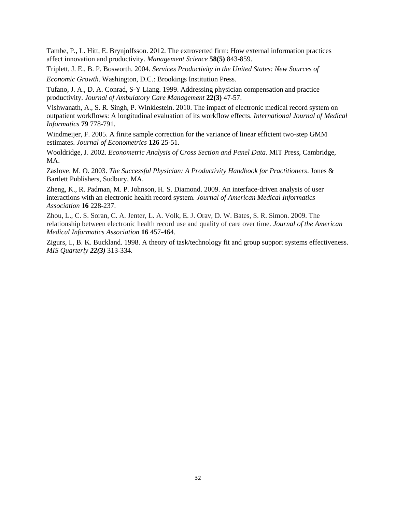Tambe, P., L. Hitt, E. Brynjolfsson. 2012. The extroverted firm: How external information practices affect innovation and productivity. *Management Science* **58(5)** 843-859.

Triplett, J. E., B. P. Bosworth. 2004. *Services Productivity in the United States: New Sources of Economic Growth*. Washington, D.C.: Brookings Institution Press.

Tufano, J. A., D. A. Conrad, S-Y Liang. 1999. Addressing physician compensation and practice productivity. *Journal of Ambulatory Care Management* **22(3)** 47-57.

Vishwanath, A., S. R. Singh, P. Winklestein. 2010. The impact of electronic medical record system on outpatient workflows: A longitudinal evaluation of its workflow effects. *International Journal of Medical Informatics* **79** 778-791.

Windmeijer, F. 2005. A finite sample correction for the variance of linear efficient two-step GMM estimates. *Journal of Econometrics* **126** 25-51.

Wooldridge, J. 2002. *Econometric Analysis of Cross Section and Panel Data*. MIT Press, Cambridge, MA.

Zaslove, M. O. 2003. *The Successful Physician: A Productivity Handbook for Practitioners*. Jones & Bartlett Publishers, Sudbury, MA.

Zheng, K., R. Padman, M. P. Johnson, H. S. Diamond. 2009. An interface-driven analysis of user interactions with an electronic health record system. *Journal of American Medical Informatics Association* **16** 228-237.

Zhou, L., C. S. Soran, C. A. Jenter, L. A. Volk, E. J. Orav, D. W. Bates, S. R. Simon. 2009. The relationship between electronic health record use and quality of care over time. *Journal of the American Medical Informatics Association* **16** 457-464.

Zigurs, I., B. K. Buckland. 1998. A theory of task/technology fit and group support systems effectiveness. *[MIS Quarterly](http://www.jstor.org/action/showPublication?journalCode=misquarterly) [22\(3\)](http://www.jstor.org/stable/i211422)* 313-334.